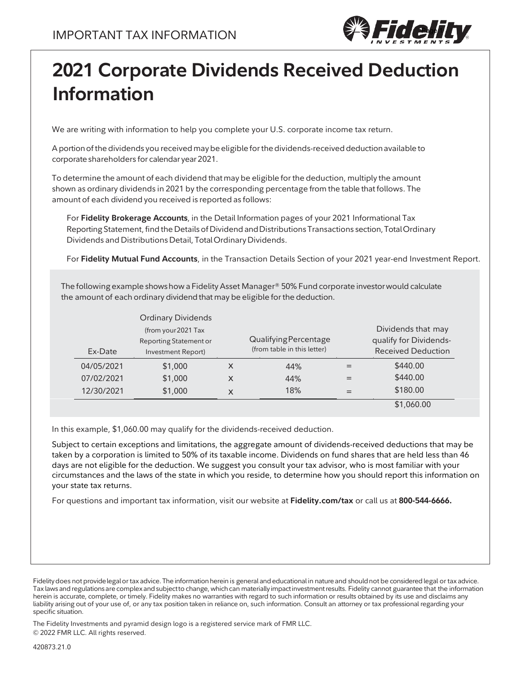

# **2021 Corporate Dividends Received Deduction Information**

We are writing with information to help you complete your U.S. corporate income tax return.

A portion of the dividends you received may be eligible for the dividends-received deduction available to corporate shareholders for calendar year 2021.

To determine the amount of each dividend thatmay be eligible for the deduction, multiply the amount shown as ordinary dividends in 2021 by the corresponding percentage from the table that follows. The amount of each dividend you received is reported as follows:

For **Fidelity Brokerage Accounts**, in the Detail Information pages of your 2021 Informational Tax Reporting Statement, find the Details of Dividend and Distributions Transactions section, Total Ordinary Dividends and DistributionsDetail, TotalOrdinaryDividends.

For **Fidelity Mutual Fund Accounts**, in the Transaction Details Section of your 2021 year-end Investment Report.

The following example shows how a Fidelity Asset Manager® 50% Fund corporate investor would calculate the amount of each ordinary dividend that may be eligible for the deduction.

|            | <b>Ordinary Dividends</b> |   |                             |                           |
|------------|---------------------------|---|-----------------------------|---------------------------|
|            | (from your 2021 Tax       |   |                             | Dividends that may        |
|            | Reporting Statement or    |   | Qualifying Percentage       | qualify for Dividends-    |
| Ex-Date    | Investment Report)        |   | (from table in this letter) | <b>Received Deduction</b> |
| 04/05/2021 | \$1,000                   | X | 44%                         | \$440.00                  |
| 07/02/2021 | \$1,000                   | X | 44%                         | \$440.00                  |
| 12/30/2021 | \$1,000                   | X | 18%                         | \$180.00                  |
|            |                           |   |                             | \$1,060.00                |

In this example, \$1,060.00 may qualify for the dividends-received deduction.

Subject to certain exceptions and limitations, the aggregate amount of dividends-received deductions that may be taken by a corporation is limited to 50% of its taxable income. Dividends on fund shares that are held less than 46 days are not eligible for the deduction. We suggest you consult your tax advisor, who is most familiar with your circumstances and the laws of the state in which you reside, to determine how you should report this information on your state tax returns.

For questions and important tax information, visit our website at **Fidelity.com/tax** or call us at **800-544-6666.**

The Fidelity Investments and pyramid design logo is a registered service mark of FMR LLC. © 2022 FMR LLC. All rights reserved.

Fidelity does not provide legal or tax advice. The information herein is general and educational in nature and should not be considered legal or tax advice. Tax laws and regulations are complex and subject to change, which can materially impact investment results. Fidelity cannot guarantee that the information herein is accurate, complete, or timely. Fidelity makes no warranties with regard to such information or results obtained by its use and disclaims any liability arising out of your use of, or any tax position taken in reliance on, such information. Consult an attorney or tax professional regarding your specific situation.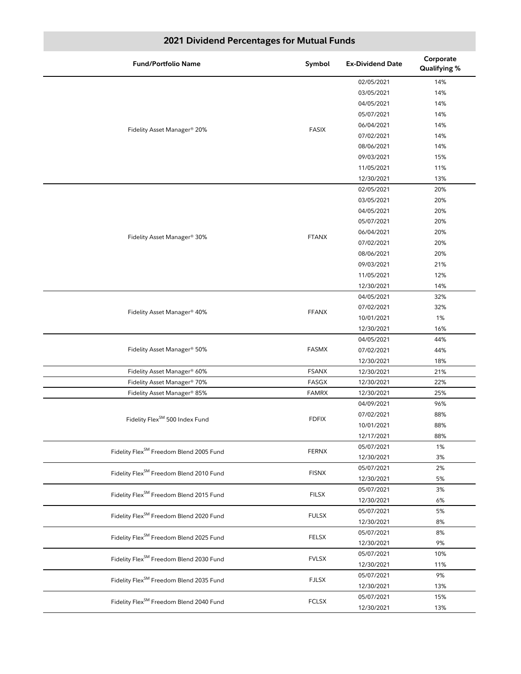| <b>Fund/Portfolio Name</b>                          | Symbol       | <b>Ex-Dividend Date</b> | Corporate<br>Qualifying % |
|-----------------------------------------------------|--------------|-------------------------|---------------------------|
|                                                     |              | 02/05/2021              | 14%                       |
|                                                     |              | 03/05/2021              | 14%                       |
|                                                     |              | 04/05/2021              | 14%                       |
|                                                     |              | 05/07/2021              | 14%                       |
|                                                     | <b>FASIX</b> | 06/04/2021              | 14%                       |
| Fidelity Asset Manager® 20%                         |              | 07/02/2021              | 14%                       |
|                                                     |              | 08/06/2021              | 14%                       |
|                                                     |              | 09/03/2021              | 15%                       |
|                                                     |              | 11/05/2021              | 11%                       |
|                                                     |              | 12/30/2021              | 13%                       |
|                                                     |              | 02/05/2021              | 20%                       |
|                                                     |              | 03/05/2021              | 20%                       |
|                                                     |              | 04/05/2021              | 20%                       |
|                                                     |              | 05/07/2021              | 20%                       |
|                                                     |              | 06/04/2021              | 20%                       |
| Fidelity Asset Manager® 30%                         | <b>FTANX</b> | 07/02/2021              | 20%                       |
|                                                     |              | 08/06/2021              | 20%                       |
|                                                     |              | 09/03/2021              | 21%                       |
|                                                     |              | 11/05/2021              | 12%                       |
|                                                     |              | 12/30/2021              | 14%                       |
|                                                     | <b>FFANX</b> | 04/05/2021              | 32%                       |
|                                                     |              | 07/02/2021              | 32%                       |
| Fidelity Asset Manager® 40%                         |              | 10/01/2021              | 1%                        |
|                                                     |              | 12/30/2021              | 16%                       |
|                                                     |              | 04/05/2021              | 44%                       |
| Fidelity Asset Manager® 50%                         | <b>FASMX</b> | 07/02/2021              | 44%                       |
|                                                     |              | 12/30/2021              | 18%                       |
| Fidelity Asset Manager® 60%                         | <b>FSANX</b> | 12/30/2021              | 21%                       |
| Fidelity Asset Manager® 70%                         | FASGX        | 12/30/2021              | 22%                       |
| Fidelity Asset Manager® 85%                         | <b>FAMRX</b> | 12/30/2021              | 25%                       |
|                                                     | <b>FDFIX</b> | 04/09/2021              | 96%                       |
| Fidelity Flex <sup>SM</sup> 500 Index Fund          |              | 07/02/2021              | 88%                       |
|                                                     |              | 10/01/2021              | 88%                       |
|                                                     |              | 12/17/2021              | 88%                       |
| Fidelity Flex <sup>SM</sup> Freedom Blend 2005 Fund | <b>FERNX</b> | 05/07/2021              | 1%                        |
|                                                     |              | 12/30/2021              | 3%                        |
| Fidelity Flex <sup>SM</sup> Freedom Blend 2010 Fund | <b>FISNX</b> | 05/07/2021              | 2%                        |
|                                                     |              | 12/30/2021              | 5%                        |
| Fidelity Flex <sup>SM</sup> Freedom Blend 2015 Fund | <b>FILSX</b> | 05/07/2021              | 3%                        |
|                                                     |              | 12/30/2021              | 6%                        |
| Fidelity Flex <sup>SM</sup> Freedom Blend 2020 Fund | <b>FULSX</b> | 05/07/2021              | 5%                        |
|                                                     |              | 12/30/2021              | 8%                        |
| Fidelity Flex <sup>SM</sup> Freedom Blend 2025 Fund | <b>FELSX</b> | 05/07/2021              | 8%                        |
|                                                     |              | 12/30/2021              | 9%                        |
| Fidelity Flex <sup>SM</sup> Freedom Blend 2030 Fund | <b>FVLSX</b> | 05/07/2021              | 10%                       |
|                                                     |              | 12/30/2021              | 11%                       |
| Fidelity Flex <sup>SM</sup> Freedom Blend 2035 Fund | <b>FJLSX</b> | 05/07/2021              | 9%                        |
|                                                     |              | 12/30/2021              | 13%                       |
| Fidelity Flex <sup>SM</sup> Freedom Blend 2040 Fund |              | 05/07/2021              | 15%                       |
| <b>FCLSX</b>                                        |              | 12/30/2021              | 13%                       |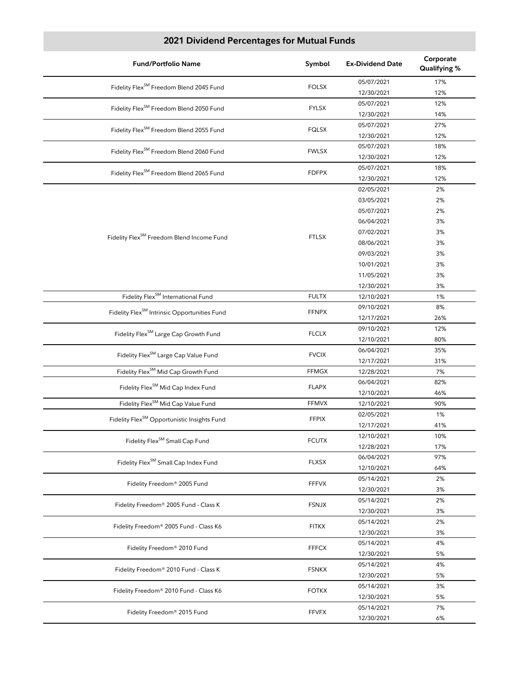| <b>Fund/Portfolio Name</b>                               | Symbol       | <b>Ex-Dividend Date</b> | Corporate<br><b>Qualifying %</b> |
|----------------------------------------------------------|--------------|-------------------------|----------------------------------|
| Fidelity Flex <sup>SM</sup> Freedom Blend 2045 Fund      | <b>FOLSX</b> | 05/07/2021              | 17%                              |
|                                                          |              | 12/30/2021              | 12%                              |
| Fidelity Flex <sup>SM</sup> Freedom Blend 2050 Fund      | <b>FYLSX</b> | 05/07/2021              | 12%                              |
|                                                          |              | 12/30/2021              | 14%                              |
| Fidelity Flex <sup>SM</sup> Freedom Blend 2055 Fund      | <b>FQLSX</b> | 05/07/2021              | 27%                              |
|                                                          |              | 12/30/2021              | 12%                              |
| Fidelity Flex <sup>SM</sup> Freedom Blend 2060 Fund      | <b>FWLSX</b> | 05/07/2021              | 18%                              |
|                                                          |              | 12/30/2021              | 12%                              |
| Fidelity Flex <sup>SM</sup> Freedom Blend 2065 Fund      | <b>FDFPX</b> | 05/07/2021              | 18%                              |
|                                                          |              | 12/30/2021              | 12%                              |
|                                                          |              | 02/05/2021              | 2%                               |
|                                                          |              | 03/05/2021              | 2%                               |
|                                                          |              | 05/07/2021              | 2%                               |
|                                                          |              | 06/04/2021              | 3%                               |
| Fidelity Flex <sup>SM</sup> Freedom Blend Income Fund    | <b>FTLSX</b> | 07/02/2021              | 3%                               |
|                                                          |              | 08/06/2021              | 3%                               |
|                                                          |              | 09/03/2021              | 3%                               |
|                                                          |              | 10/01/2021              | 3%                               |
|                                                          |              | 11/05/2021              | 3%                               |
|                                                          |              | 12/30/2021              | 3%                               |
| Fidelity Flex <sup>SM</sup> International Fund           | <b>FULTX</b> | 12/10/2021              | 1%                               |
| Fidelity Flex <sup>SM</sup> Intrinsic Opportunities Fund | <b>FFNPX</b> | 09/10/2021              | 8%                               |
|                                                          |              | 12/17/2021              | 26%                              |
| Fidelity Flex <sup>SM</sup> Large Cap Growth Fund        | <b>FLCLX</b> | 09/10/2021              | 12%                              |
|                                                          |              | 12/10/2021              | 80%                              |
| Fidelity Flex <sup>SM</sup> Large Cap Value Fund         | <b>FVCIX</b> | 06/04/2021              | 35%                              |
|                                                          |              | 12/17/2021              | 31%                              |
| Fidelity Flex <sup>SM</sup> Mid Cap Growth Fund          | <b>FFMGX</b> | 12/28/2021              | 7%                               |
| Fidelity Flex <sup>SM</sup> Mid Cap Index Fund           | <b>FLAPX</b> | 06/04/2021              | 82%                              |
|                                                          |              | 12/10/2021              | 46%                              |
| Fidelity Flex <sup>SM</sup> Mid Cap Value Fund           | <b>FFMVX</b> | 12/10/2021              | 90%                              |
| Fidelity Flex <sup>SM</sup> Opportunistic Insights Fund  | <b>FFPIX</b> | 02/05/2021              | 1%                               |
|                                                          |              | 12/17/2021              | 41%                              |
| Fidelity Flex <sup>SM</sup> Small Cap Fund               | <b>FCUTX</b> | 12/10/2021              | 10%                              |
|                                                          |              | 12/28/2021              | 17%                              |
| Fidelity Flex <sup>SM</sup> Small Cap Index Fund         | <b>FLXSX</b> | 06/04/2021              | 97%                              |
|                                                          |              | 12/10/2021              | 64%                              |
| Fidelity Freedom® 2005 Fund                              | <b>FFFVX</b> | 05/14/2021              | 2%                               |
|                                                          |              | 12/30/2021              | 3%                               |
| Fidelity Freedom® 2005 Fund - Class K                    | <b>FSNJX</b> | 05/14/2021              | 2%                               |
|                                                          |              | 12/30/2021              | 3%                               |
| Fidelity Freedom® 2005 Fund - Class K6                   | <b>FITKX</b> | 05/14/2021              | 2%                               |
|                                                          |              | 12/30/2021              | 3%                               |
| Fidelity Freedom® 2010 Fund                              |              | 05/14/2021              | 4%                               |
|                                                          | <b>FFFCX</b> | 12/30/2021              | 5%                               |
| Fidelity Freedom® 2010 Fund - Class K                    |              | 05/14/2021              | 4%                               |
|                                                          | <b>FSNKX</b> | 12/30/2021              | 5%                               |
| Fidelity Freedom® 2010 Fund - Class K6                   | <b>FOTKX</b> | 05/14/2021              | 3%                               |
|                                                          |              | 12/30/2021              | 5%                               |
| Fidelity Freedom® 2015 Fund                              | <b>FFVFX</b> | 05/14/2021              | 7%                               |
|                                                          |              | 12/30/2021              | 6%                               |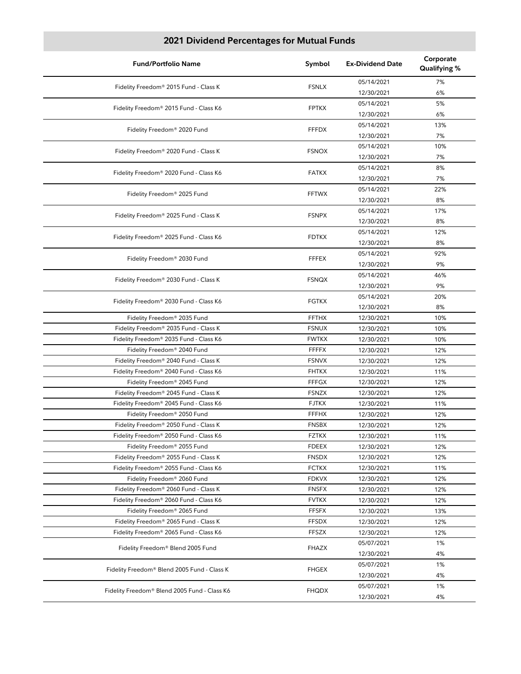| <b>Fund/Portfolio Name</b>                   | Symbol       | <b>Ex-Dividend Date</b> | Corporate<br>Qualifying % |
|----------------------------------------------|--------------|-------------------------|---------------------------|
| Fidelity Freedom® 2015 Fund - Class K        | <b>FSNLX</b> | 05/14/2021              | 7%                        |
|                                              |              | 12/30/2021              | 6%                        |
| Fidelity Freedom® 2015 Fund - Class K6       | <b>FPTKX</b> | 05/14/2021              | 5%                        |
|                                              |              | 12/30/2021              | 6%                        |
| Fidelity Freedom® 2020 Fund                  | <b>FFFDX</b> | 05/14/2021              | 13%                       |
|                                              |              | 12/30/2021              | 7%                        |
| Fidelity Freedom® 2020 Fund - Class K        | <b>FSNOX</b> | 05/14/2021              | 10%                       |
|                                              |              | 12/30/2021              | 7%                        |
| Fidelity Freedom® 2020 Fund - Class K6       | <b>FATKX</b> | 05/14/2021              | 8%                        |
|                                              |              | 12/30/2021              | 7%                        |
| Fidelity Freedom® 2025 Fund                  | <b>FFTWX</b> | 05/14/2021              | 22%                       |
|                                              |              | 12/30/2021              | 8%                        |
| Fidelity Freedom® 2025 Fund - Class K        | <b>FSNPX</b> | 05/14/2021              | 17%                       |
|                                              |              | 12/30/2021              | 8%                        |
| Fidelity Freedom® 2025 Fund - Class K6       | <b>FDTKX</b> | 05/14/2021              | 12%                       |
|                                              |              | 12/30/2021              | 8%                        |
| Fidelity Freedom® 2030 Fund                  | <b>FFFEX</b> | 05/14/2021              | 92%                       |
|                                              |              | 12/30/2021              | 9%                        |
| Fidelity Freedom® 2030 Fund - Class K        | <b>FSNQX</b> | 05/14/2021              | 46%                       |
|                                              |              | 12/30/2021              | 9%                        |
| Fidelity Freedom® 2030 Fund - Class K6       | <b>FGTKX</b> | 05/14/2021              | 20%                       |
|                                              |              | 12/30/2021              | 8%                        |
| Fidelity Freedom® 2035 Fund                  | <b>FFTHX</b> | 12/30/2021              | 10%                       |
| Fidelity Freedom® 2035 Fund - Class K        | <b>FSNUX</b> | 12/30/2021              | 10%                       |
| Fidelity Freedom® 2035 Fund - Class K6       | <b>FWTKX</b> | 12/30/2021              | 10%                       |
| Fidelity Freedom® 2040 Fund                  | <b>FFFFX</b> | 12/30/2021              | 12%                       |
| Fidelity Freedom® 2040 Fund - Class K        | <b>FSNVX</b> | 12/30/2021              | 12%                       |
| Fidelity Freedom® 2040 Fund - Class K6       | <b>FHTKX</b> | 12/30/2021              | 11%                       |
| Fidelity Freedom® 2045 Fund                  | <b>FFFGX</b> | 12/30/2021              | 12%                       |
| Fidelity Freedom® 2045 Fund - Class K        | <b>FSNZX</b> | 12/30/2021              | 12%                       |
| Fidelity Freedom® 2045 Fund - Class K6       | <b>FJTKX</b> | 12/30/2021              | 11%                       |
| Fidelity Freedom® 2050 Fund                  | <b>FFFHX</b> | 12/30/2021              | 12%                       |
| Fidelity Freedom® 2050 Fund - Class K        | <b>FNSBX</b> | 12/30/2021              | 12%                       |
| Fidelity Freedom® 2050 Fund - Class K6       | <b>FZTKX</b> | 12/30/2021              | 11%                       |
| Fidelity Freedom® 2055 Fund                  | <b>FDEEX</b> | 12/30/2021              | 12%                       |
| Fidelity Freedom® 2055 Fund - Class K        | <b>FNSDX</b> | 12/30/2021              | 12%                       |
| Fidelity Freedom® 2055 Fund - Class K6       | <b>FCTKX</b> | 12/30/2021              | 11%                       |
| Fidelity Freedom® 2060 Fund                  | <b>FDKVX</b> | 12/30/2021              | 12%                       |
| Fidelity Freedom® 2060 Fund - Class K        | <b>FNSFX</b> | 12/30/2021              | 12%                       |
| Fidelity Freedom® 2060 Fund - Class K6       | <b>FVTKX</b> | 12/30/2021              | 12%                       |
| Fidelity Freedom® 2065 Fund                  | <b>FFSFX</b> | 12/30/2021              | 13%                       |
| Fidelity Freedom® 2065 Fund - Class K        | <b>FFSDX</b> | 12/30/2021              | 12%                       |
| Fidelity Freedom® 2065 Fund - Class K6       | <b>FFSZX</b> | 12/30/2021              | 12%                       |
| Fidelity Freedom® Blend 2005 Fund            | FHAZX        | 05/07/2021              | 1%                        |
|                                              |              | 12/30/2021              | 4%                        |
| Fidelity Freedom® Blend 2005 Fund - Class K  | <b>FHGEX</b> | 05/07/2021              | 1%                        |
|                                              |              | 12/30/2021              | 4%                        |
| Fidelity Freedom® Blend 2005 Fund - Class K6 | <b>FHQDX</b> | 05/07/2021              | 1%                        |
|                                              |              | 12/30/2021              | 4%                        |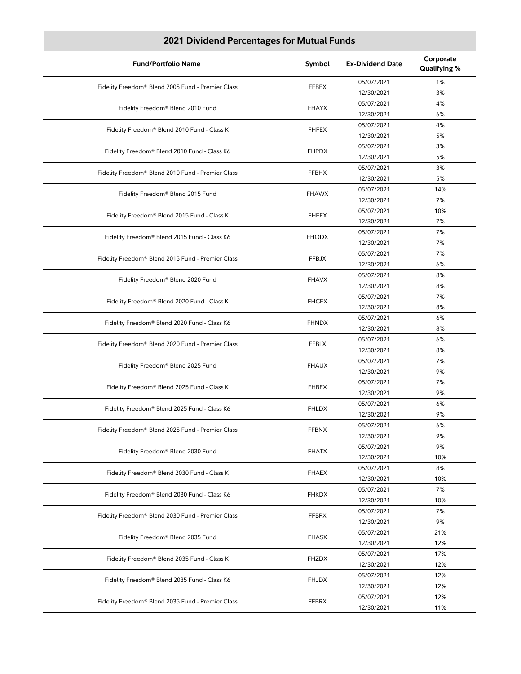| <b>Fund/Portfolio Name</b>                        | Symbol       | <b>Ex-Dividend Date</b> | Corporate<br>Qualifying % |
|---------------------------------------------------|--------------|-------------------------|---------------------------|
| Fidelity Freedom® Blend 2005 Fund - Premier Class | <b>FFBEX</b> | 05/07/2021              | 1%                        |
|                                                   |              | 12/30/2021              | 3%                        |
| Fidelity Freedom® Blend 2010 Fund                 | <b>FHAYX</b> | 05/07/2021              | 4%                        |
|                                                   |              | 12/30/2021              | 6%                        |
| Fidelity Freedom® Blend 2010 Fund - Class K       | <b>FHFEX</b> | 05/07/2021              | 4%                        |
|                                                   |              | 12/30/2021              | 5%                        |
| Fidelity Freedom® Blend 2010 Fund - Class K6      | <b>FHPDX</b> | 05/07/2021              | 3%                        |
|                                                   |              | 12/30/2021              | 5%                        |
| Fidelity Freedom® Blend 2010 Fund - Premier Class | <b>FFBHX</b> | 05/07/2021              | 3%                        |
|                                                   |              | 12/30/2021              | 5%                        |
| Fidelity Freedom® Blend 2015 Fund                 | <b>FHAWX</b> | 05/07/2021              | 14%                       |
|                                                   |              | 12/30/2021              | 7%                        |
| Fidelity Freedom® Blend 2015 Fund - Class K       | <b>FHEEX</b> | 05/07/2021              | 10%                       |
|                                                   |              | 12/30/2021              | 7%                        |
| Fidelity Freedom® Blend 2015 Fund - Class K6      | <b>FHODX</b> | 05/07/2021              | 7%                        |
|                                                   |              | 12/30/2021              | 7%                        |
| Fidelity Freedom® Blend 2015 Fund - Premier Class | FFBJX        | 05/07/2021              | 7%                        |
|                                                   |              | 12/30/2021              | 6%                        |
| Fidelity Freedom® Blend 2020 Fund                 | <b>FHAVX</b> | 05/07/2021              | 8%                        |
|                                                   |              | 12/30/2021              | 8%                        |
| Fidelity Freedom® Blend 2020 Fund - Class K       | <b>FHCEX</b> | 05/07/2021              | 7%                        |
|                                                   |              | 12/30/2021              | 8%                        |
| Fidelity Freedom® Blend 2020 Fund - Class K6      | <b>FHNDX</b> | 05/07/2021              | 6%                        |
|                                                   |              | 12/30/2021              | 8%                        |
| Fidelity Freedom® Blend 2020 Fund - Premier Class | <b>FFBLX</b> | 05/07/2021              | 6%                        |
|                                                   |              | 12/30/2021              | 8%                        |
| Fidelity Freedom® Blend 2025 Fund                 | <b>FHAUX</b> | 05/07/2021              | 7%                        |
|                                                   |              | 12/30/2021              | 9%                        |
| Fidelity Freedom® Blend 2025 Fund - Class K       | <b>FHBEX</b> | 05/07/2021              | 7%                        |
|                                                   |              | 12/30/2021              | 9%                        |
| Fidelity Freedom® Blend 2025 Fund - Class K6      | <b>FHLDX</b> | 05/07/2021              | 6%                        |
|                                                   |              | 12/30/2021              | 9%                        |
| Fidelity Freedom® Blend 2025 Fund - Premier Class | <b>FFBNX</b> | 05/07/2021              | 6%                        |
|                                                   |              | 12/30/2021              | 9%                        |
| Fidelity Freedom® Blend 2030 Fund                 | <b>FHATX</b> | 05/07/2021              | 9%                        |
|                                                   |              | 12/30/2021              | 10%                       |
| Fidelity Freedom® Blend 2030 Fund - Class K       | <b>FHAEX</b> | 05/07/2021              | 8%                        |
|                                                   |              | 12/30/2021              | 10%                       |
| Fidelity Freedom® Blend 2030 Fund - Class K6      | FHKDX        | 05/07/2021              | 7%                        |
|                                                   |              | 12/30/2021              | 10%                       |
| Fidelity Freedom® Blend 2030 Fund - Premier Class | <b>FFBPX</b> | 05/07/2021              | 7%                        |
|                                                   |              | 12/30/2021              | 9%                        |
| Fidelity Freedom® Blend 2035 Fund                 | <b>FHASX</b> | 05/07/2021              | 21%                       |
|                                                   |              | 12/30/2021              | 12%                       |
| Fidelity Freedom® Blend 2035 Fund - Class K       | FHZDX        | 05/07/2021              | 17%                       |
|                                                   |              | 12/30/2021              | 12%                       |
| Fidelity Freedom® Blend 2035 Fund - Class K6      | <b>FHJDX</b> | 05/07/2021              | 12%                       |
|                                                   |              | 12/30/2021              | 12%                       |
| Fidelity Freedom® Blend 2035 Fund - Premier Class | FFBRX        | 05/07/2021              | 12%                       |
|                                                   |              | 12/30/2021              | 11%                       |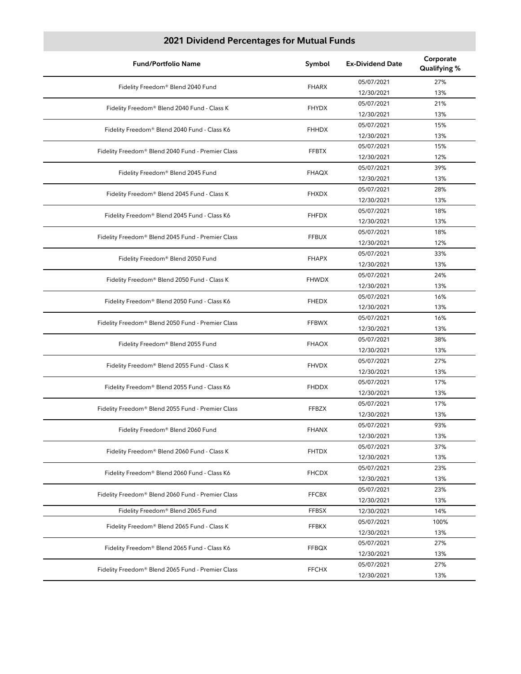| <b>Fund/Portfolio Name</b>                        | Symbol       | <b>Ex-Dividend Date</b> | Corporate<br>Qualifying % |
|---------------------------------------------------|--------------|-------------------------|---------------------------|
|                                                   | <b>FHARX</b> | 05/07/2021              | 27%                       |
| Fidelity Freedom® Blend 2040 Fund                 |              | 12/30/2021              | 13%                       |
| Fidelity Freedom® Blend 2040 Fund - Class K       | <b>FHYDX</b> | 05/07/2021              | 21%                       |
|                                                   |              | 12/30/2021              | 13%                       |
| Fidelity Freedom® Blend 2040 Fund - Class K6      | <b>FHHDX</b> | 05/07/2021              | 15%                       |
|                                                   |              | 12/30/2021              | 13%                       |
| Fidelity Freedom® Blend 2040 Fund - Premier Class | <b>FFBTX</b> | 05/07/2021              | 15%                       |
|                                                   |              | 12/30/2021              | 12%                       |
| Fidelity Freedom® Blend 2045 Fund                 | FHAQX        | 05/07/2021              | 39%                       |
|                                                   |              | 12/30/2021              | 13%                       |
| Fidelity Freedom® Blend 2045 Fund - Class K       | <b>FHXDX</b> | 05/07/2021              | 28%                       |
|                                                   |              | 12/30/2021              | 13%                       |
| Fidelity Freedom® Blend 2045 Fund - Class K6      | <b>FHFDX</b> | 05/07/2021              | 18%                       |
|                                                   |              | 12/30/2021              | 13%                       |
| Fidelity Freedom® Blend 2045 Fund - Premier Class | <b>FFBUX</b> | 05/07/2021              | 18%                       |
|                                                   |              | 12/30/2021              | 12%                       |
| Fidelity Freedom® Blend 2050 Fund                 | <b>FHAPX</b> | 05/07/2021              | 33%                       |
|                                                   |              | 12/30/2021              | 13%                       |
| Fidelity Freedom® Blend 2050 Fund - Class K       | <b>FHWDX</b> | 05/07/2021              | 24%                       |
|                                                   |              | 12/30/2021              | 13%                       |
| Fidelity Freedom® Blend 2050 Fund - Class K6      | <b>FHEDX</b> | 05/07/2021              | 16%                       |
|                                                   |              | 12/30/2021              | 13%                       |
| Fidelity Freedom® Blend 2050 Fund - Premier Class | <b>FFBWX</b> | 05/07/2021              | 16%                       |
|                                                   |              | 12/30/2021              | 13%                       |
| Fidelity Freedom® Blend 2055 Fund                 | <b>FHAOX</b> | 05/07/2021              | 38%                       |
|                                                   |              | 12/30/2021              | 13%                       |
| Fidelity Freedom® Blend 2055 Fund - Class K       | <b>FHVDX</b> | 05/07/2021              | 27%                       |
|                                                   |              | 12/30/2021              | 13%                       |
| Fidelity Freedom® Blend 2055 Fund - Class K6      | <b>FHDDX</b> | 05/07/2021              | 17%                       |
|                                                   |              | 12/30/2021              | 13%                       |
| Fidelity Freedom® Blend 2055 Fund - Premier Class | <b>FFBZX</b> | 05/07/2021              | 17%                       |
|                                                   |              | 12/30/2021              | 13%                       |
| Fidelity Freedom® Blend 2060 Fund                 | <b>FHANX</b> | 05/07/2021              | 93%                       |
|                                                   |              | 12/30/2021              | 13%                       |
| Fidelity Freedom® Blend 2060 Fund - Class K       | <b>FHTDX</b> | 05/07/2021              | 37%                       |
|                                                   |              | 12/30/2021              | 13%                       |
| Fidelity Freedom® Blend 2060 Fund - Class K6      | <b>FHCDX</b> | 05/07/2021              | 23%                       |
|                                                   |              | 12/30/2021              | 13%                       |
| Fidelity Freedom® Blend 2060 Fund - Premier Class | <b>FFCBX</b> | 05/07/2021              | 23%                       |
|                                                   |              | 12/30/2021              | 13%                       |
| Fidelity Freedom® Blend 2065 Fund                 | <b>FFBSX</b> | 12/30/2021              | 14%                       |
| Fidelity Freedom® Blend 2065 Fund - Class K       | FFBKX        | 05/07/2021              | 100%                      |
|                                                   |              | 12/30/2021              | 13%                       |
| Fidelity Freedom® Blend 2065 Fund - Class K6      | <b>FFBQX</b> | 05/07/2021              | 27%                       |
|                                                   |              | 12/30/2021              | 13%                       |
| Fidelity Freedom® Blend 2065 Fund - Premier Class | <b>FFCHX</b> | 05/07/2021              | 27%                       |
|                                                   |              | 12/30/2021              | 13%                       |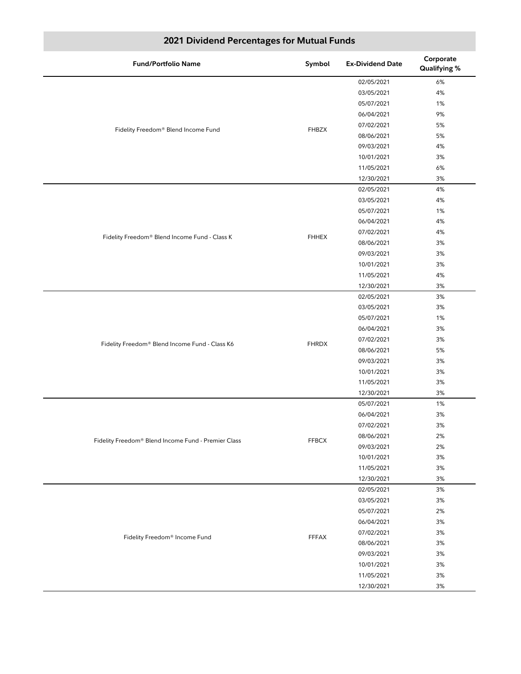| <b>Fund/Portfolio Name</b>                          | Symbol       | <b>Ex-Dividend Date</b> | Corporate<br>Qualifying % |
|-----------------------------------------------------|--------------|-------------------------|---------------------------|
|                                                     |              | 02/05/2021              | 6%                        |
|                                                     |              | 03/05/2021              | 4%                        |
|                                                     |              | 05/07/2021              | 1%                        |
|                                                     |              | 06/04/2021              | 9%                        |
| Fidelity Freedom® Blend Income Fund                 | <b>FHBZX</b> | 07/02/2021              | 5%                        |
|                                                     |              | 08/06/2021              | 5%                        |
|                                                     |              | 09/03/2021              | 4%                        |
|                                                     |              | 10/01/2021              | 3%                        |
|                                                     |              | 11/05/2021              | 6%                        |
|                                                     |              | 12/30/2021              | 3%                        |
|                                                     |              | 02/05/2021              | 4%                        |
|                                                     |              | 03/05/2021              | 4%                        |
|                                                     |              | 05/07/2021              | 1%                        |
|                                                     |              | 06/04/2021              | 4%                        |
|                                                     |              | 07/02/2021              | 4%                        |
| Fidelity Freedom® Blend Income Fund - Class K       | <b>FHHEX</b> | 08/06/2021              | 3%                        |
|                                                     |              | 09/03/2021              | 3%                        |
|                                                     |              | 10/01/2021              | 3%                        |
|                                                     |              | 11/05/2021              | 4%                        |
|                                                     |              | 12/30/2021              | 3%                        |
|                                                     | <b>FHRDX</b> | 02/05/2021              | 3%                        |
|                                                     |              | 03/05/2021              | 3%                        |
|                                                     |              | 05/07/2021              | 1%                        |
|                                                     |              | 06/04/2021              | 3%                        |
|                                                     |              | 07/02/2021              | 3%                        |
| Fidelity Freedom® Blend Income Fund - Class K6      |              | 08/06/2021              | 5%                        |
|                                                     |              | 09/03/2021              | 3%                        |
|                                                     |              | 10/01/2021              | 3%                        |
|                                                     |              | 11/05/2021              | 3%                        |
|                                                     |              | 12/30/2021              | 3%                        |
|                                                     |              | 05/07/2021              | 1%                        |
|                                                     |              | 06/04/2021              | 3%                        |
|                                                     |              | 07/02/2021              | 3%                        |
|                                                     |              | 08/06/2021              | 2%                        |
| Fidelity Freedom® Blend Income Fund - Premier Class | <b>FFBCX</b> | 09/03/2021              | 2%                        |
|                                                     |              | 10/01/2021              | $3%$                      |
|                                                     |              | 11/05/2021              | 3%                        |
|                                                     |              | 12/30/2021              | 3%                        |
|                                                     |              | 02/05/2021              | 3%                        |
|                                                     |              | 03/05/2021              | 3%                        |
|                                                     |              | 05/07/2021              | 2%                        |
|                                                     |              | 06/04/2021              | 3%                        |
|                                                     |              | 07/02/2021              | 3%                        |
| Fidelity Freedom® Income Fund                       | <b>FFFAX</b> | 08/06/2021              | 3%                        |
|                                                     |              | 09/03/2021              | 3%                        |
|                                                     |              | 10/01/2021              | 3%                        |
|                                                     |              | 11/05/2021              | 3%                        |
|                                                     |              | 12/30/2021              | 3%                        |
|                                                     |              |                         |                           |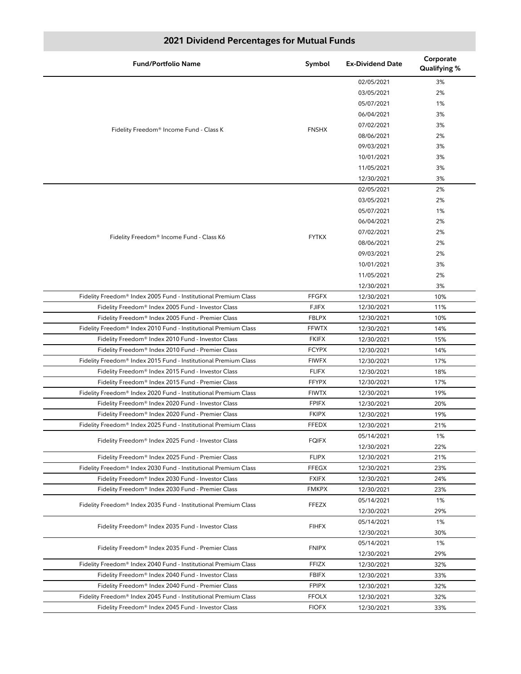| <b>Fund/Portfolio Name</b>                                      | Symbol                       | <b>Ex-Dividend Date</b> | Corporate<br>Qualifying % |
|-----------------------------------------------------------------|------------------------------|-------------------------|---------------------------|
|                                                                 |                              | 02/05/2021              | 3%                        |
|                                                                 |                              | 03/05/2021              | 2%                        |
|                                                                 |                              | 05/07/2021              | 1%                        |
|                                                                 |                              | 06/04/2021              | 3%                        |
|                                                                 |                              | 07/02/2021              | 3%                        |
| Fidelity Freedom® Income Fund - Class K                         | <b>FNSHX</b>                 | 08/06/2021              | 2%                        |
|                                                                 |                              | 09/03/2021              | 3%                        |
|                                                                 |                              | 10/01/2021              | 3%                        |
|                                                                 |                              | 11/05/2021              | 3%                        |
|                                                                 |                              | 12/30/2021              | 3%                        |
|                                                                 |                              | 02/05/2021              | 2%                        |
|                                                                 |                              | 03/05/2021              | 2%                        |
|                                                                 |                              | 05/07/2021              | 1%                        |
|                                                                 |                              | 06/04/2021              | 2%                        |
|                                                                 |                              | 07/02/2021              | 2%                        |
| Fidelity Freedom® Income Fund - Class K6                        | <b>FYTKX</b>                 | 08/06/2021              | 2%                        |
|                                                                 |                              | 09/03/2021              | 2%                        |
|                                                                 |                              | 10/01/2021              | 3%                        |
|                                                                 |                              | 11/05/2021              | 2%                        |
|                                                                 |                              | 12/30/2021              | 3%                        |
| Fidelity Freedom® Index 2005 Fund - Institutional Premium Class | <b>FFGFX</b>                 | 12/30/2021              | 10%                       |
| Fidelity Freedom® Index 2005 Fund - Investor Class              | <b>FJIFX</b>                 | 12/30/2021              | 11%                       |
| Fidelity Freedom® Index 2005 Fund - Premier Class               | <b>FBLPX</b>                 | 12/30/2021              | 10%                       |
| Fidelity Freedom® Index 2010 Fund - Institutional Premium Class | <b>FFWTX</b>                 | 12/30/2021              | 14%                       |
| Fidelity Freedom® Index 2010 Fund - Investor Class              | <b>FKIFX</b>                 | 12/30/2021              | 15%                       |
| Fidelity Freedom® Index 2010 Fund - Premier Class               | <b>FCYPX</b>                 | 12/30/2021              | 14%                       |
| Fidelity Freedom® Index 2015 Fund - Institutional Premium Class | <b>FIWFX</b>                 | 12/30/2021              | 17%                       |
|                                                                 |                              |                         |                           |
| Fidelity Freedom® Index 2015 Fund - Investor Class              | <b>FLIFX</b><br><b>FFYPX</b> | 12/30/2021              | 18%                       |
| Fidelity Freedom® Index 2015 Fund - Premier Class               |                              | 12/30/2021              | 17%                       |
| Fidelity Freedom® Index 2020 Fund - Institutional Premium Class | <b>FIWTX</b>                 | 12/30/2021              | 19%                       |
| Fidelity Freedom® Index 2020 Fund - Investor Class              | <b>FPIFX</b>                 | 12/30/2021              | 20%                       |
| Fidelity Freedom® Index 2020 Fund - Premier Class               | <b>FKIPX</b>                 | 12/30/2021              | 19%                       |
| Fidelity Freedom® Index 2025 Fund - Institutional Premium Class | <b>FFEDX</b>                 | 12/30/2021              | 21%                       |
| Fidelity Freedom® Index 2025 Fund - Investor Class              | <b>FQIFX</b>                 | 05/14/2021              | 1%                        |
|                                                                 |                              | 12/30/2021              | 22%                       |
| Fidelity Freedom® Index 2025 Fund - Premier Class               | <b>FLIPX</b>                 | 12/30/2021              | 21%                       |
| Fidelity Freedom® Index 2030 Fund - Institutional Premium Class | FFEGX                        | 12/30/2021              | 23%                       |
| Fidelity Freedom® Index 2030 Fund - Investor Class              | <b>FXIFX</b>                 | 12/30/2021              | 24%                       |
| Fidelity Freedom® Index 2030 Fund - Premier Class               | FMKPX                        | 12/30/2021              | 23%                       |
| Fidelity Freedom® Index 2035 Fund - Institutional Premium Class | <b>FFEZX</b>                 | 05/14/2021              | 1%                        |
|                                                                 |                              | 12/30/2021              | 29%                       |
| Fidelity Freedom® Index 2035 Fund - Investor Class              | <b>FIHFX</b>                 | 05/14/2021              | 1%                        |
|                                                                 |                              | 12/30/2021              | 30%                       |
| Fidelity Freedom® Index 2035 Fund - Premier Class               | <b>FNIPX</b>                 | 05/14/2021              | 1%                        |
|                                                                 |                              | 12/30/2021              | 29%                       |
| Fidelity Freedom® Index 2040 Fund - Institutional Premium Class | <b>FFIZX</b>                 | 12/30/2021              | 32%                       |
| Fidelity Freedom® Index 2040 Fund - Investor Class              | <b>FBIFX</b>                 | 12/30/2021              | 33%                       |
| Fidelity Freedom® Index 2040 Fund - Premier Class               | <b>FPIPX</b>                 | 12/30/2021              | 32%                       |
| Fidelity Freedom® Index 2045 Fund - Institutional Premium Class | <b>FFOLX</b>                 | 12/30/2021              | 32%                       |
| Fidelity Freedom® Index 2045 Fund - Investor Class              | <b>FIOFX</b>                 | 12/30/2021              | 33%                       |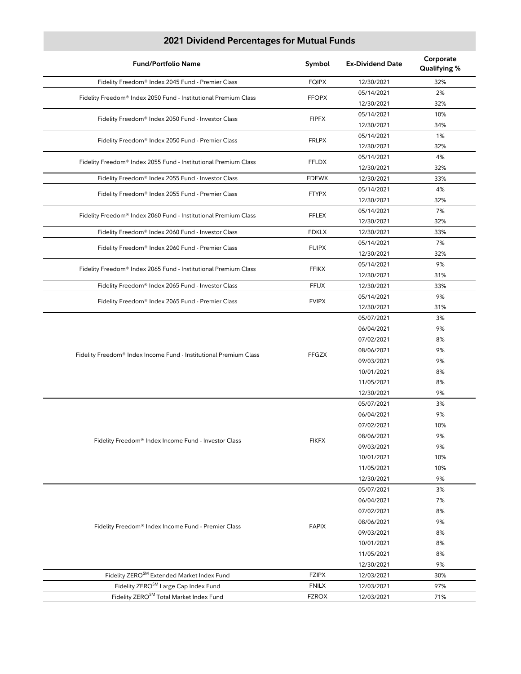| <b>Fund/Portfolio Name</b>                                                                              | Symbol                       | <b>Ex-Dividend Date</b> | Corporate<br>Qualifying % |
|---------------------------------------------------------------------------------------------------------|------------------------------|-------------------------|---------------------------|
| Fidelity Freedom® Index 2045 Fund - Premier Class                                                       | <b>FQIPX</b>                 | 12/30/2021              | 32%                       |
|                                                                                                         |                              | 05/14/2021              | 2%                        |
| Fidelity Freedom® Index 2050 Fund - Institutional Premium Class                                         | <b>FFOPX</b>                 | 12/30/2021              | 32%                       |
| Fidelity Freedom® Index 2050 Fund - Investor Class                                                      | <b>FIPFX</b>                 | 05/14/2021              | 10%                       |
|                                                                                                         |                              | 12/30/2021              | 34%                       |
| Fidelity Freedom® Index 2050 Fund - Premier Class                                                       | <b>FRLPX</b>                 | 05/14/2021              | 1%                        |
|                                                                                                         |                              | 12/30/2021              | 32%                       |
| Fidelity Freedom® Index 2055 Fund - Institutional Premium Class                                         | <b>FFLDX</b>                 | 05/14/2021              | 4%                        |
|                                                                                                         |                              | 12/30/2021              | 32%                       |
| Fidelity Freedom® Index 2055 Fund - Investor Class                                                      | <b>FDEWX</b>                 | 12/30/2021              | 33%                       |
| Fidelity Freedom® Index 2055 Fund - Premier Class                                                       | <b>FTYPX</b>                 | 05/14/2021              | 4%                        |
|                                                                                                         |                              | 12/30/2021              | 32%                       |
| Fidelity Freedom® Index 2060 Fund - Institutional Premium Class                                         | <b>FFLEX</b>                 | 05/14/2021              | 7%                        |
|                                                                                                         |                              | 12/30/2021              | 32%                       |
| Fidelity Freedom® Index 2060 Fund - Investor Class                                                      | <b>FDKLX</b>                 | 12/30/2021              | 33%                       |
| Fidelity Freedom® Index 2060 Fund - Premier Class                                                       | <b>FUIPX</b>                 | 05/14/2021              | 7%                        |
|                                                                                                         |                              | 12/30/2021              | 32%                       |
| Fidelity Freedom® Index 2065 Fund - Institutional Premium Class                                         | <b>FFIKX</b>                 | 05/14/2021              | 9%                        |
|                                                                                                         |                              | 12/30/2021              | 31%                       |
| Fidelity Freedom® Index 2065 Fund - Investor Class                                                      | <b>FFIJX</b>                 | 12/30/2021              | 33%                       |
| Fidelity Freedom® Index 2065 Fund - Premier Class                                                       | <b>FVIPX</b>                 | 05/14/2021              | 9%                        |
|                                                                                                         |                              | 12/30/2021              | 31%                       |
|                                                                                                         |                              | 05/07/2021              | 3%                        |
|                                                                                                         |                              | 06/04/2021              | 9%                        |
|                                                                                                         |                              | 07/02/2021              | 8%                        |
| Fidelity Freedom® Index Income Fund - Institutional Premium Class                                       | FFGZX                        | 08/06/2021              | 9%                        |
|                                                                                                         |                              | 09/03/2021              | 9%                        |
|                                                                                                         |                              | 10/01/2021              | 8%                        |
|                                                                                                         |                              | 11/05/2021              | 8%                        |
|                                                                                                         |                              | 12/30/2021              | 9%                        |
|                                                                                                         |                              | 05/07/2021              | 3%                        |
|                                                                                                         |                              | 06/04/2021              | 9%                        |
|                                                                                                         |                              | 07/02/2021              | 10%                       |
| Fidelity Freedom® Index Income Fund - Investor Class                                                    | <b>FIKFX</b>                 | 08/06/2021              | 9%                        |
|                                                                                                         |                              | 09/03/2021              | 9%                        |
|                                                                                                         |                              | 10/01/2021              | 10%                       |
|                                                                                                         |                              | 11/05/2021              | 10%                       |
|                                                                                                         |                              | 12/30/2021              | 9%                        |
|                                                                                                         |                              | 05/07/2021              | 3%                        |
|                                                                                                         |                              | 06/04/2021              | 7%                        |
|                                                                                                         |                              | 07/02/2021              | 8%                        |
| Fidelity Freedom® Index Income Fund - Premier Class                                                     | <b>FAPIX</b>                 | 08/06/2021              | 9%                        |
|                                                                                                         |                              | 09/03/2021              | 8%                        |
|                                                                                                         |                              | 10/01/2021              | 8%                        |
|                                                                                                         |                              | 11/05/2021              | 8%                        |
|                                                                                                         |                              | 12/30/2021              | 9%                        |
| Fidelity ZERO <sup>SM</sup> Extended Market Index Fund                                                  | <b>FZIPX</b>                 | 12/03/2021              | 30%                       |
| Fidelity ZERO <sup>SM</sup> Large Cap Index Fund<br>Fidelity ZERO <sup>SM</sup> Total Market Index Fund | <b>FNILX</b><br><b>FZROX</b> | 12/03/2021              | 97%                       |
|                                                                                                         |                              | 12/03/2021              | 71%                       |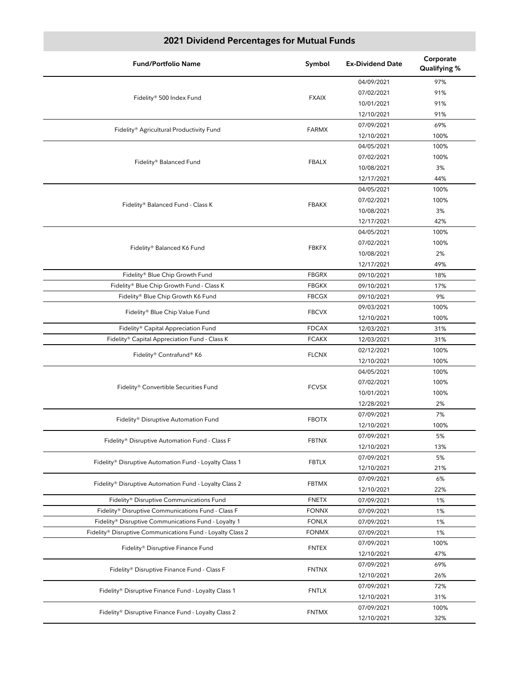| <b>Fund/Portfolio Name</b>                                 | Symbol       | <b>Ex-Dividend Date</b>  | Corporate<br>Qualifying % |
|------------------------------------------------------------|--------------|--------------------------|---------------------------|
|                                                            |              | 04/09/2021               | 97%                       |
|                                                            | <b>FXAIX</b> | 07/02/2021               | 91%                       |
| Fidelity® 500 Index Fund                                   |              | 10/01/2021               | 91%                       |
|                                                            |              | 12/10/2021               | 91%                       |
|                                                            | <b>FARMX</b> | 07/09/2021               | 69%                       |
| Fidelity® Agricultural Productivity Fund                   |              | 12/10/2021               | 100%                      |
|                                                            |              | 04/05/2021               | 100%                      |
|                                                            |              | 07/02/2021               | 100%                      |
| Fidelity® Balanced Fund                                    | <b>FBALX</b> | 10/08/2021               | 3%                        |
|                                                            |              | 12/17/2021               | 44%                       |
|                                                            |              | 04/05/2021               | 100%                      |
|                                                            |              | 07/02/2021               | 100%                      |
| Fidelity® Balanced Fund - Class K                          | <b>FBAKX</b> | 10/08/2021               | 3%                        |
|                                                            |              | 12/17/2021               | 42%                       |
|                                                            |              | 04/05/2021               | 100%                      |
|                                                            |              | 07/02/2021               | 100%                      |
| Fidelity® Balanced K6 Fund                                 | <b>FBKFX</b> | 10/08/2021               | 2%                        |
|                                                            |              | 12/17/2021               | 49%                       |
| Fidelity® Blue Chip Growth Fund                            | <b>FBGRX</b> | 09/10/2021               | 18%                       |
| Fidelity® Blue Chip Growth Fund - Class K                  | <b>FBGKX</b> | 09/10/2021               | 17%                       |
| Fidelity® Blue Chip Growth K6 Fund                         | <b>FBCGX</b> | 09/10/2021               | 9%                        |
|                                                            |              | 09/03/2021               | 100%                      |
| Fidelity® Blue Chip Value Fund                             | <b>FBCVX</b> | 12/10/2021               | 100%                      |
| Fidelity® Capital Appreciation Fund                        | <b>FDCAX</b> | 12/03/2021               | 31%                       |
| Fidelity® Capital Appreciation Fund - Class K              | <b>FCAKX</b> | 12/03/2021               | 31%                       |
|                                                            |              | 02/12/2021               | 100%                      |
| Fidelity® Contrafund® K6                                   | <b>FLCNX</b> | 12/10/2021               | 100%                      |
|                                                            |              | 04/05/2021               | 100%                      |
|                                                            |              | 07/02/2021               | 100%                      |
| Fidelity® Convertible Securities Fund                      | <b>FCVSX</b> | 10/01/2021               | 100%                      |
|                                                            |              | 12/28/2021               | 2%                        |
|                                                            |              | 07/09/2021               | 7%                        |
| Fidelity® Disruptive Automation Fund                       | <b>FBOTX</b> | 12/10/2021               | 100%                      |
|                                                            |              |                          | 5%                        |
| Fidelity® Disruptive Automation Fund - Class F             | <b>FBTNX</b> | 07/09/2021<br>12/10/2021 | 13%                       |
|                                                            |              | 07/09/2021               | 5%                        |
| Fidelity® Disruptive Automation Fund - Loyalty Class 1     | <b>FBTLX</b> | 12/10/2021               | 21%                       |
|                                                            |              | 07/09/2021               | 6%                        |
| Fidelity® Disruptive Automation Fund - Loyalty Class 2     | <b>FBTMX</b> | 12/10/2021               | 22%                       |
| Fidelity® Disruptive Communications Fund                   | <b>FNETX</b> | 07/09/2021               | 1%                        |
| Fidelity® Disruptive Communications Fund - Class F         | <b>FONNX</b> | 07/09/2021               | 1%                        |
| Fidelity® Disruptive Communications Fund - Loyalty 1       | <b>FONLX</b> | 07/09/2021               | 1%                        |
| Fidelity® Disruptive Communications Fund - Loyalty Class 2 | <b>FONMX</b> | 07/09/2021               | 1%                        |
|                                                            |              | 07/09/2021               | 100%                      |
| Fidelity® Disruptive Finance Fund                          | <b>FNTEX</b> | 12/10/2021               | 47%                       |
|                                                            |              |                          |                           |
| Fidelity® Disruptive Finance Fund - Class F                | <b>FNTNX</b> | 07/09/2021               | 69%                       |
|                                                            |              | 12/10/2021               | 26%                       |
| Fidelity® Disruptive Finance Fund - Loyalty Class 1        | <b>FNTLX</b> | 07/09/2021               | 72%                       |
|                                                            |              | 12/10/2021               | 31%                       |
| Fidelity® Disruptive Finance Fund - Loyalty Class 2        | <b>FNTMX</b> | 07/09/2021               | 100%                      |
|                                                            |              | 12/10/2021               | 32%                       |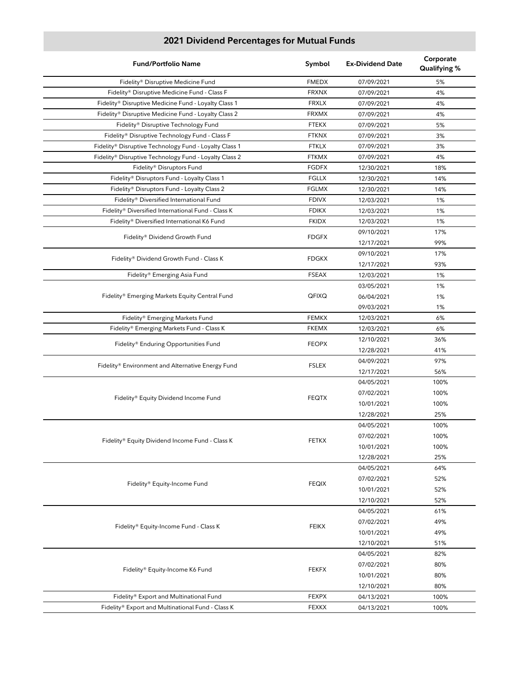| <b>Fund/Portfolio Name</b>                             | Symbol       | <b>Ex-Dividend Date</b> | Corporate<br>Qualifying % |
|--------------------------------------------------------|--------------|-------------------------|---------------------------|
| Fidelity® Disruptive Medicine Fund                     | <b>FMEDX</b> | 07/09/2021              | 5%                        |
| Fidelity® Disruptive Medicine Fund - Class F           | <b>FRXNX</b> | 07/09/2021              | 4%                        |
| Fidelity® Disruptive Medicine Fund - Loyalty Class 1   | <b>FRXLX</b> | 07/09/2021              | 4%                        |
| Fidelity® Disruptive Medicine Fund - Loyalty Class 2   | <b>FRXMX</b> | 07/09/2021              | 4%                        |
| Fidelity® Disruptive Technology Fund                   | <b>FTEKX</b> | 07/09/2021              | 5%                        |
| Fidelity® Disruptive Technology Fund - Class F         | <b>FTKNX</b> | 07/09/2021              | 3%                        |
| Fidelity® Disruptive Technology Fund - Loyalty Class 1 | <b>FTKLX</b> | 07/09/2021              | 3%                        |
| Fidelity® Disruptive Technology Fund - Loyalty Class 2 | <b>FTKMX</b> | 07/09/2021              | 4%                        |
| Fidelity® Disruptors Fund                              | <b>FGDFX</b> | 12/30/2021              | 18%                       |
| Fidelity® Disruptors Fund - Loyalty Class 1            | <b>FGLLX</b> | 12/30/2021              | 14%                       |
| Fidelity® Disruptors Fund - Loyalty Class 2            | <b>FGLMX</b> | 12/30/2021              | 14%                       |
| Fidelity® Diversified International Fund               | <b>FDIVX</b> | 12/03/2021              | 1%                        |
| Fidelity® Diversified International Fund - Class K     | <b>FDIKX</b> | 12/03/2021              | 1%                        |
| Fidelity® Diversified International K6 Fund            | <b>FKIDX</b> | 12/03/2021              | 1%                        |
|                                                        |              | 09/10/2021              | 17%                       |
| Fidelity® Dividend Growth Fund                         | <b>FDGFX</b> | 12/17/2021              | 99%                       |
|                                                        |              | 09/10/2021              | 17%                       |
| Fidelity® Dividend Growth Fund - Class K               | <b>FDGKX</b> | 12/17/2021              | 93%                       |
| Fidelity® Emerging Asia Fund                           | <b>FSEAX</b> | 12/03/2021              | 1%                        |
|                                                        |              | 03/05/2021              | 1%                        |
| Fidelity® Emerging Markets Equity Central Fund         | QFIXQ        | 06/04/2021              | 1%                        |
|                                                        |              | 09/03/2021              | 1%                        |
| Fidelity® Emerging Markets Fund                        | <b>FEMKX</b> | 12/03/2021              | 6%                        |
| Fidelity® Emerging Markets Fund - Class K              | <b>FKEMX</b> | 12/03/2021              | 6%                        |
|                                                        |              | 12/10/2021              | 36%                       |
| Fidelity® Enduring Opportunities Fund                  | <b>FEOPX</b> | 12/28/2021              | 41%                       |
|                                                        |              | 04/09/2021              | 97%                       |
| Fidelity® Environment and Alternative Energy Fund      | <b>FSLEX</b> | 12/17/2021              | 56%                       |
|                                                        |              | 04/05/2021              | 100%                      |
|                                                        | <b>FEQTX</b> | 07/02/2021              | 100%                      |
| Fidelity® Equity Dividend Income Fund                  |              | 10/01/2021              | 100%                      |
|                                                        |              | 12/28/2021              | 25%                       |
|                                                        |              | 04/05/2021              | 100%                      |
|                                                        |              | 07/02/2021              | 100%                      |
| Fidelity® Equity Dividend Income Fund - Class K        | <b>FETKX</b> | 10/01/2021              | 100%                      |
|                                                        |              | 12/28/2021              | 25%                       |
|                                                        |              | 04/05/2021              | 64%                       |
|                                                        |              | 07/02/2021              | 52%                       |
| Fidelity® Equity-Income Fund                           | <b>FEQIX</b> | 10/01/2021              | 52%                       |
|                                                        |              | 12/10/2021              | 52%                       |
|                                                        |              | 04/05/2021              | 61%                       |
|                                                        |              | 07/02/2021              | 49%                       |
| Fidelity® Equity-Income Fund - Class K                 | <b>FEIKX</b> | 10/01/2021              | 49%                       |
|                                                        |              | 12/10/2021              | 51%                       |
|                                                        |              | 04/05/2021              | 82%                       |
|                                                        | <b>FEKFX</b> | 07/02/2021              | 80%                       |
| Fidelity® Equity-Income K6 Fund                        |              | 10/01/2021              | 80%                       |
|                                                        |              | 12/10/2021              | 80%                       |
| Fidelity® Export and Multinational Fund                | <b>FEXPX</b> | 04/13/2021              | 100%                      |
| Fidelity® Export and Multinational Fund - Class K      | <b>FEXKX</b> | 04/13/2021              | 100%                      |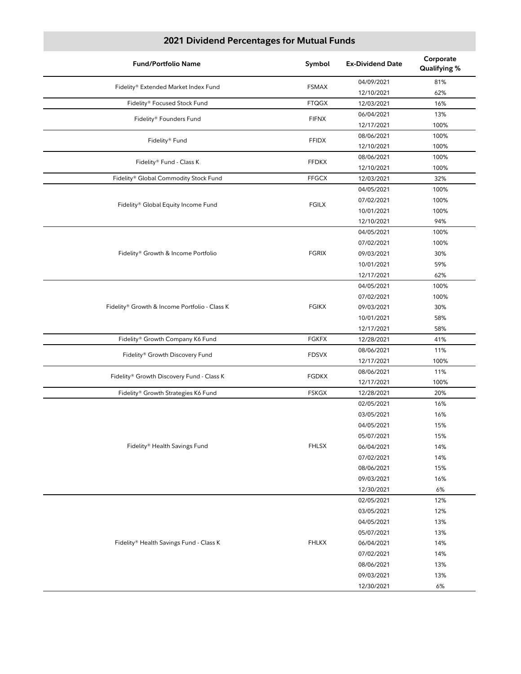| <b>Fund/Portfolio Name</b>                    | Symbol       | <b>Ex-Dividend Date</b> | Corporate<br>Qualifying % |
|-----------------------------------------------|--------------|-------------------------|---------------------------|
| Fidelity® Extended Market Index Fund          | <b>FSMAX</b> | 04/09/2021              | 81%                       |
|                                               |              | 12/10/2021              | 62%                       |
| Fidelity® Focused Stock Fund                  | <b>FTQGX</b> | 12/03/2021              | 16%                       |
| Fidelity® Founders Fund                       | <b>FIFNX</b> | 06/04/2021              | 13%                       |
|                                               |              | 12/17/2021              | 100%                      |
| Fidelity® Fund                                | <b>FFIDX</b> | 08/06/2021              | 100%                      |
|                                               |              | 12/10/2021              | 100%                      |
| Fidelity® Fund - Class K                      | <b>FFDKX</b> | 08/06/2021              | 100%                      |
|                                               |              | 12/10/2021              | 100%                      |
| Fidelity® Global Commodity Stock Fund         | <b>FFGCX</b> | 12/03/2021              | 32%                       |
|                                               |              | 04/05/2021              | 100%                      |
| Fidelity® Global Equity Income Fund           | <b>FGILX</b> | 07/02/2021              | 100%                      |
|                                               |              | 10/01/2021              | 100%                      |
|                                               |              | 12/10/2021              | 94%                       |
|                                               |              | 04/05/2021              | 100%                      |
|                                               |              | 07/02/2021              | 100%                      |
| Fidelity® Growth & Income Portfolio           | <b>FGRIX</b> | 09/03/2021              | 30%                       |
|                                               |              | 10/01/2021              | 59%                       |
|                                               |              | 12/17/2021              | 62%                       |
|                                               |              | 04/05/2021              | 100%                      |
|                                               |              | 07/02/2021              | 100%                      |
| Fidelity® Growth & Income Portfolio - Class K | <b>FGIKX</b> | 09/03/2021              | 30%                       |
|                                               |              | 10/01/2021              | 58%                       |
|                                               |              | 12/17/2021              | 58%                       |
| Fidelity® Growth Company K6 Fund              | <b>FGKFX</b> | 12/28/2021              | 41%                       |
| Fidelity® Growth Discovery Fund               | <b>FDSVX</b> | 08/06/2021              | 11%                       |
|                                               |              | 12/17/2021              | 100%                      |
| Fidelity® Growth Discovery Fund - Class K     | <b>FGDKX</b> | 08/06/2021              | 11%                       |
|                                               |              | 12/17/2021              | 100%                      |
| Fidelity® Growth Strategies K6 Fund           | <b>FSKGX</b> | 12/28/2021              | 20%                       |
|                                               |              | 02/05/2021              | 16%                       |
|                                               |              | 03/05/2021              | 16%                       |
|                                               |              | 04/05/2021              | 15%                       |
|                                               |              | 05/07/2021              | 15%                       |
| Fidelity® Health Savings Fund                 | <b>FHLSX</b> | 06/04/2021              | 14%                       |
|                                               |              | 07/02/2021              | 14%                       |
|                                               |              | 08/06/2021              | 15%                       |
|                                               |              | 09/03/2021              | 16%                       |
|                                               |              | 12/30/2021              | 6%                        |
|                                               |              | 02/05/2021              | 12%                       |
|                                               |              | 03/05/2021              | 12%                       |
|                                               |              | 04/05/2021              | 13%                       |
|                                               |              | 05/07/2021              | 13%                       |
| Fidelity® Health Savings Fund - Class K       | <b>FHLKX</b> | 06/04/2021              | 14%                       |
|                                               |              | 07/02/2021              | 14%                       |
|                                               |              | 08/06/2021              | 13%                       |
|                                               |              | 09/03/2021              | 13%                       |
|                                               |              | 12/30/2021              | 6%                        |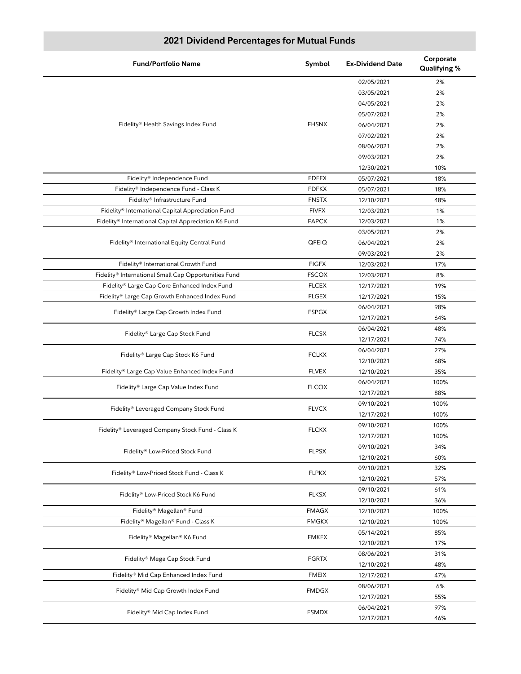| <b>Fund/Portfolio Name</b>                           | Symbol       | <b>Ex-Dividend Date</b> | Corporate<br>Qualifying % |
|------------------------------------------------------|--------------|-------------------------|---------------------------|
|                                                      |              | 02/05/2021              | 2%                        |
|                                                      |              | 03/05/2021              | 2%                        |
|                                                      |              | 04/05/2021              | 2%                        |
|                                                      |              | 05/07/2021              | 2%                        |
| Fidelity® Health Savings Index Fund                  | <b>FHSNX</b> | 06/04/2021              | 2%                        |
|                                                      |              | 07/02/2021              | 2%                        |
|                                                      |              | 08/06/2021              | 2%                        |
|                                                      |              | 09/03/2021              | 2%                        |
|                                                      |              | 12/30/2021              | 10%                       |
| Fidelity® Independence Fund                          | <b>FDFFX</b> | 05/07/2021              | 18%                       |
| Fidelity® Independence Fund - Class K                | <b>FDFKX</b> | 05/07/2021              | 18%                       |
| Fidelity® Infrastructure Fund                        | <b>FNSTX</b> | 12/10/2021              | 48%                       |
| Fidelity® International Capital Appreciation Fund    | <b>FIVFX</b> |                         |                           |
| Fidelity® International Capital Appreciation K6 Fund |              | 12/03/2021              | 1%                        |
|                                                      | <b>FAPCX</b> | 12/03/2021              | 1%                        |
|                                                      |              | 03/05/2021              | 2%                        |
| Fidelity® International Equity Central Fund          | QFEIQ        | 06/04/2021              | 2%                        |
|                                                      |              | 09/03/2021              | 2%                        |
| Fidelity® International Growth Fund                  | <b>FIGFX</b> | 12/03/2021              | 17%                       |
| Fidelity® International Small Cap Opportunities Fund | <b>FSCOX</b> | 12/03/2021              | 8%                        |
| Fidelity® Large Cap Core Enhanced Index Fund         | <b>FLCEX</b> | 12/17/2021              | 19%                       |
| Fidelity® Large Cap Growth Enhanced Index Fund       | <b>FLGEX</b> | 12/17/2021              | 15%                       |
| Fidelity® Large Cap Growth Index Fund                | <b>FSPGX</b> | 06/04/2021              | 98%                       |
|                                                      |              | 12/17/2021              | 64%                       |
| Fidelity® Large Cap Stock Fund                       | <b>FLCSX</b> | 06/04/2021              | 48%                       |
|                                                      |              | 12/17/2021              | 74%                       |
|                                                      |              | 06/04/2021              | 27%                       |
| Fidelity® Large Cap Stock K6 Fund                    | <b>FCLKX</b> | 12/10/2021              | 68%                       |
| Fidelity® Large Cap Value Enhanced Index Fund        | <b>FLVEX</b> | 12/10/2021              | 35%                       |
|                                                      |              | 06/04/2021              | 100%                      |
| Fidelity® Large Cap Value Index Fund                 | <b>FLCOX</b> | 12/17/2021              | 88%                       |
|                                                      |              | 09/10/2021              | 100%                      |
| Fidelity® Leveraged Company Stock Fund               | <b>FLVCX</b> | 12/17/2021              | 100%                      |
|                                                      |              | 09/10/2021              | 100%                      |
| Fidelity® Leveraged Company Stock Fund - Class K     | <b>FLCKX</b> | 12/17/2021              | 100%                      |
|                                                      |              | 09/10/2021              | 34%                       |
| Fidelity® Low-Priced Stock Fund                      | <b>FLPSX</b> | 12/10/2021              | 60%                       |
|                                                      |              |                         |                           |
| Fidelity® Low-Priced Stock Fund - Class K            | <b>FLPKX</b> | 09/10/2021              | 32%                       |
|                                                      |              | 12/10/2021              | 57%                       |
| Fidelity® Low-Priced Stock K6 Fund                   | <b>FLKSX</b> | 09/10/2021              | 61%                       |
|                                                      |              | 12/10/2021              | 36%                       |
| Fidelity® Magellan® Fund                             | <b>FMAGX</b> | 12/10/2021              | 100%                      |
| Fidelity® Magellan® Fund - Class K                   | <b>FMGKX</b> | 12/10/2021              | 100%                      |
| Fidelity® Magellan® K6 Fund                          | <b>FMKFX</b> | 05/14/2021              | 85%                       |
|                                                      |              | 12/10/2021              | 17%                       |
| Fidelity® Mega Cap Stock Fund                        | <b>FGRTX</b> | 08/06/2021              | 31%                       |
|                                                      |              | 12/10/2021              | 48%                       |
| Fidelity® Mid Cap Enhanced Index Fund                | <b>FMEIX</b> | 12/17/2021              | 47%                       |
| Fidelity® Mid Cap Growth Index Fund                  | <b>FMDGX</b> | 08/06/2021              | 6%                        |
|                                                      |              | 12/17/2021              | 55%                       |
| Fidelity® Mid Cap Index Fund                         | <b>FSMDX</b> | 06/04/2021              | 97%                       |
|                                                      |              | 12/17/2021              | 46%                       |
|                                                      |              |                         |                           |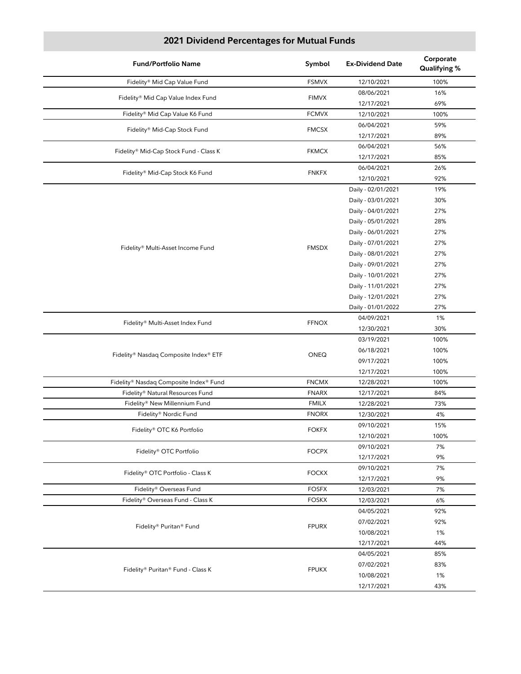| <b>Fund/Portfolio Name</b>             | Symbol       | <b>Ex-Dividend Date</b> | Corporate<br>Qualifying % |
|----------------------------------------|--------------|-------------------------|---------------------------|
| Fidelity® Mid Cap Value Fund           | <b>FSMVX</b> | 12/10/2021              | 100%                      |
| Fidelity® Mid Cap Value Index Fund     | <b>FIMVX</b> | 08/06/2021              | 16%                       |
|                                        |              | 12/17/2021              | 69%                       |
| Fidelity® Mid Cap Value K6 Fund        | <b>FCMVX</b> | 12/10/2021              | 100%                      |
| Fidelity® Mid-Cap Stock Fund           | <b>FMCSX</b> | 06/04/2021              | 59%                       |
|                                        |              | 12/17/2021              | 89%                       |
| Fidelity® Mid-Cap Stock Fund - Class K | <b>FKMCX</b> | 06/04/2021              | 56%                       |
|                                        |              | 12/17/2021              | 85%                       |
| Fidelity® Mid-Cap Stock K6 Fund        | <b>FNKFX</b> | 06/04/2021              | 26%                       |
|                                        |              | 12/10/2021              | 92%                       |
|                                        |              | Daily - 02/01/2021      | 19%                       |
|                                        |              | Daily - 03/01/2021      | 30%                       |
|                                        |              | Daily - 04/01/2021      | 27%                       |
|                                        |              | Daily - 05/01/2021      | 28%                       |
|                                        |              | Daily - 06/01/2021      | 27%                       |
|                                        |              | Daily - 07/01/2021      | 27%                       |
| Fidelity® Multi-Asset Income Fund      | <b>FMSDX</b> | Daily - 08/01/2021      | 27%                       |
|                                        |              | Daily - 09/01/2021      | 27%                       |
|                                        |              | Daily - 10/01/2021      | 27%                       |
|                                        |              | Daily - 11/01/2021      | 27%                       |
|                                        |              | Daily - 12/01/2021      | 27%                       |
|                                        |              | Daily - 01/01/2022      | 27%                       |
|                                        |              | 04/09/2021              | 1%                        |
| Fidelity® Multi-Asset Index Fund       | <b>FFNOX</b> | 12/30/2021              | 30%                       |
|                                        |              | 03/19/2021              | 100%                      |
|                                        |              | 06/18/2021              | 100%                      |
| Fidelity® Nasdaq Composite Index® ETF  | ONEQ         | 09/17/2021              | 100%                      |
|                                        |              | 12/17/2021              | 100%                      |
| Fidelity® Nasdaq Composite Index® Fund | <b>FNCMX</b> | 12/28/2021              | 100%                      |
| Fidelity® Natural Resources Fund       | <b>FNARX</b> | 12/17/2021              | 84%                       |
| Fidelity® New Millennium Fund          | <b>FMILX</b> | 12/28/2021              | 73%                       |
| Fidelity® Nordic Fund                  | <b>FNORX</b> | 12/30/2021              | 4%                        |
|                                        |              | 09/10/2021              | 15%                       |
| Fidelity® OTC K6 Portfolio             | <b>FOKFX</b> | 12/10/2021              | 100%                      |
|                                        |              | 09/10/2021              | 7%                        |
| Fidelity® OTC Portfolio                | <b>FOCPX</b> | 12/17/2021              | 9%                        |
|                                        |              | 09/10/2021              | 7%                        |
| Fidelity® OTC Portfolio - Class K      | <b>FOCKX</b> | 12/17/2021              | 9%                        |
| Fidelity® Overseas Fund                | <b>FOSFX</b> | 12/03/2021              | 7%                        |
| Fidelity® Overseas Fund - Class K      | <b>FOSKX</b> | 12/03/2021              | 6%                        |
|                                        |              | 04/05/2021              | 92%                       |
|                                        |              | 07/02/2021              | 92%                       |
| Fidelity® Puritan® Fund                | <b>FPURX</b> | 10/08/2021              | 1%                        |
|                                        |              | 12/17/2021              | 44%                       |
|                                        |              | 04/05/2021              | 85%                       |
|                                        |              | 07/02/2021              | 83%                       |
| Fidelity® Puritan® Fund - Class K      | <b>FPUKX</b> | 10/08/2021              | 1%                        |
|                                        |              | 12/17/2021              | 43%                       |
|                                        |              |                         |                           |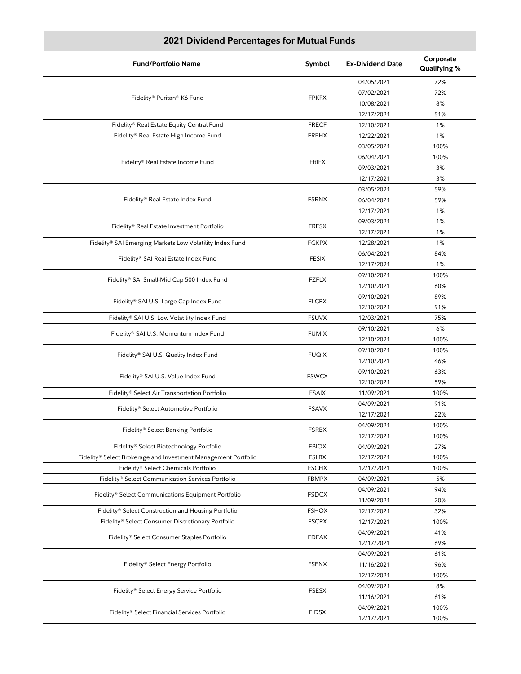| <b>Fund/Portfolio Name</b>                                     | Symbol       | <b>Ex-Dividend Date</b> | Corporate<br>Qualifying % |
|----------------------------------------------------------------|--------------|-------------------------|---------------------------|
|                                                                |              | 04/05/2021              | 72%                       |
|                                                                |              | 07/02/2021              | 72%                       |
| Fidelity® Puritan® K6 Fund                                     | <b>FPKFX</b> | 10/08/2021              | 8%                        |
|                                                                |              | 12/17/2021              | 51%                       |
| Fidelity® Real Estate Equity Central Fund                      | <b>FRECF</b> | 12/10/2021              | 1%                        |
| Fidelity® Real Estate High Income Fund                         | <b>FREHX</b> | 12/22/2021              | 1%                        |
|                                                                |              | 03/05/2021              | 100%                      |
|                                                                |              | 06/04/2021              | 100%                      |
| Fidelity® Real Estate Income Fund                              | <b>FRIFX</b> | 09/03/2021              | 3%                        |
|                                                                |              | 12/17/2021              | 3%                        |
|                                                                |              | 03/05/2021              | 59%                       |
| Fidelity® Real Estate Index Fund                               | <b>FSRNX</b> | 06/04/2021              | 59%                       |
|                                                                |              |                         |                           |
|                                                                |              | 12/17/2021              | 1%                        |
| Fidelity® Real Estate Investment Portfolio                     | <b>FRESX</b> | 09/03/2021              | 1%                        |
|                                                                |              | 12/17/2021              | 1%                        |
| Fidelity® SAI Emerging Markets Low Volatility Index Fund       | <b>FGKPX</b> | 12/28/2021              | 1%                        |
| Fidelity® SAI Real Estate Index Fund                           | <b>FESIX</b> | 06/04/2021              | 84%                       |
|                                                                |              | 12/17/2021              | 1%                        |
| Fidelity® SAI Small-Mid Cap 500 Index Fund                     | <b>FZFLX</b> | 09/10/2021              | 100%                      |
|                                                                |              | 12/10/2021              | 60%                       |
| Fidelity® SAI U.S. Large Cap Index Fund                        | <b>FLCPX</b> | 09/10/2021              | 89%                       |
|                                                                |              | 12/10/2021              | 91%                       |
| Fidelity® SAI U.S. Low Volatility Index Fund                   | <b>FSUVX</b> | 12/03/2021              | 75%                       |
|                                                                | <b>FUMIX</b> | 09/10/2021              | 6%                        |
| Fidelity® SAI U.S. Momentum Index Fund                         |              | 12/10/2021              | 100%                      |
|                                                                |              | 09/10/2021              | 100%                      |
| Fidelity® SAI U.S. Quality Index Fund                          | <b>FUQIX</b> | 12/10/2021              | 46%                       |
|                                                                |              | 09/10/2021              | 63%                       |
| Fidelity® SAI U.S. Value Index Fund                            | <b>FSWCX</b> | 12/10/2021              | 59%                       |
| Fidelity® Select Air Transportation Portfolio                  | <b>FSAIX</b> | 11/09/2021              | 100%                      |
|                                                                |              | 04/09/2021              | 91%                       |
| Fidelity® Select Automotive Portfolio                          | <b>FSAVX</b> | 12/17/2021              | 22%                       |
|                                                                |              | 04/09/2021              | 100%                      |
| Fidelity® Select Banking Portfolio                             | <b>FSRBX</b> | 12/17/2021              | 100%                      |
| Fidelity® Select Biotechnology Portfolio                       | <b>FBIOX</b> | 04/09/2021              | 27%                       |
| Fidelity® Select Brokerage and Investment Management Portfolio | <b>FSLBX</b> | 12/17/2021              | 100%                      |
| Fidelity® Select Chemicals Portfolio                           | <b>FSCHX</b> | 12/17/2021              | 100%                      |
|                                                                | <b>FBMPX</b> | 04/09/2021              | 5%                        |
| Fidelity® Select Communication Services Portfolio              |              |                         |                           |
| Fidelity® Select Communications Equipment Portfolio            | <b>FSDCX</b> | 04/09/2021              | 94%                       |
|                                                                |              | 11/09/2021              | 20%                       |
| Fidelity® Select Construction and Housing Portfolio            | <b>FSHOX</b> | 12/17/2021              | 32%                       |
| Fidelity® Select Consumer Discretionary Portfolio              | <b>FSCPX</b> | 12/17/2021              | 100%                      |
| Fidelity® Select Consumer Staples Portfolio                    | <b>FDFAX</b> | 04/09/2021              | 41%                       |
|                                                                |              | 12/17/2021              | 69%                       |
|                                                                | <b>FSENX</b> | 04/09/2021              | 61%                       |
| Fidelity® Select Energy Portfolio                              |              | 11/16/2021              | 96%                       |
|                                                                |              | 12/17/2021              | 100%                      |
| Fidelity® Select Energy Service Portfolio                      | <b>FSESX</b> | 04/09/2021              | 8%                        |
|                                                                |              | 11/16/2021              | 61%                       |
| Fidelity® Select Financial Services Portfolio                  | <b>FIDSX</b> | 04/09/2021              | 100%                      |
|                                                                |              | 12/17/2021              | 100%                      |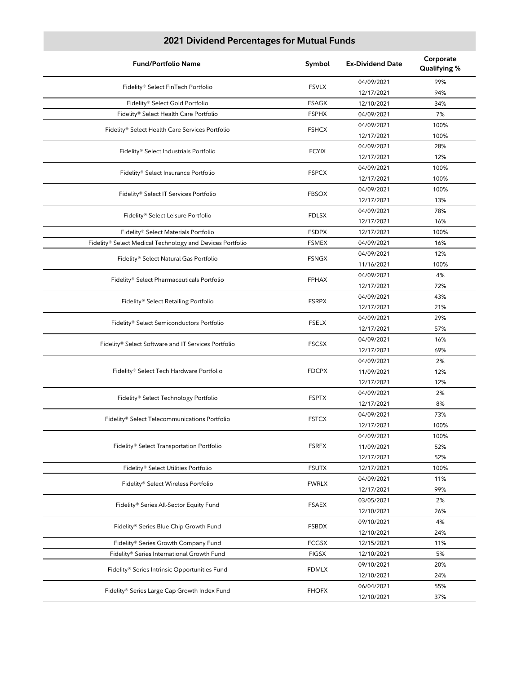| <b>Fund/Portfolio Name</b>                                | Symbol                                                   | <b>Ex-Dividend Date</b> | Corporate<br>Qualifying % |
|-----------------------------------------------------------|----------------------------------------------------------|-------------------------|---------------------------|
|                                                           | <b>FSVLX</b>                                             | 04/09/2021              | 99%                       |
| Fidelity® Select FinTech Portfolio                        |                                                          | 12/17/2021              | 94%                       |
| Fidelity® Select Gold Portfolio                           | <b>FSAGX</b>                                             | 12/10/2021              | 34%                       |
| Fidelity® Select Health Care Portfolio                    | <b>FSPHX</b>                                             | 04/09/2021              | 7%                        |
| Fidelity® Select Health Care Services Portfolio           | <b>FSHCX</b>                                             | 04/09/2021              | 100%                      |
|                                                           |                                                          | 12/17/2021              | 100%                      |
| Fidelity® Select Industrials Portfolio                    | <b>FCYIX</b>                                             | 04/09/2021              | 28%                       |
|                                                           |                                                          | 12/17/2021              | 12%                       |
| Fidelity® Select Insurance Portfolio                      | <b>FSPCX</b>                                             | 04/09/2021              | 100%                      |
|                                                           |                                                          | 12/17/2021              | 100%                      |
| Fidelity® Select IT Services Portfolio                    | <b>FBSOX</b>                                             | 04/09/2021              | 100%                      |
|                                                           |                                                          | 12/17/2021              | 13%                       |
| Fidelity® Select Leisure Portfolio                        | <b>FDLSX</b>                                             | 04/09/2021              | 78%                       |
|                                                           |                                                          | 12/17/2021              | 16%                       |
| Fidelity® Select Materials Portfolio                      | <b>FSDPX</b>                                             | 12/17/2021              | 100%                      |
| Fidelity® Select Medical Technology and Devices Portfolio | <b>FSMEX</b>                                             | 04/09/2021              | 16%                       |
| Fidelity® Select Natural Gas Portfolio                    | <b>FSNGX</b>                                             | 04/09/2021              | 12%                       |
|                                                           |                                                          | 11/16/2021              | 100%                      |
| Fidelity® Select Pharmaceuticals Portfolio                | <b>FPHAX</b>                                             | 04/09/2021              | 4%                        |
|                                                           |                                                          | 12/17/2021              | 72%                       |
| Fidelity® Select Retailing Portfolio                      | <b>FSRPX</b>                                             | 04/09/2021              | 43%                       |
|                                                           |                                                          | 12/17/2021              | 21%                       |
| Fidelity® Select Semiconductors Portfolio                 | <b>FSELX</b>                                             | 04/09/2021              | 29%                       |
|                                                           |                                                          | 12/17/2021              | 57%                       |
| Fidelity® Select Software and IT Services Portfolio       | <b>FSCSX</b>                                             | 04/09/2021              | 16%                       |
|                                                           |                                                          | 12/17/2021              | 69%                       |
|                                                           | Fidelity® Select Tech Hardware Portfolio<br><b>FDCPX</b> | 04/09/2021              | 2%                        |
|                                                           |                                                          | 11/09/2021              | 12%                       |
|                                                           |                                                          | 12/17/2021              | 12%                       |
| Fidelity® Select Technology Portfolio                     | <b>FSPTX</b>                                             | 04/09/2021              | 2%                        |
|                                                           |                                                          | 12/17/2021              | 8%                        |
| Fidelity® Select Telecommunications Portfolio             | <b>FSTCX</b>                                             | 04/09/2021              | 73%                       |
|                                                           |                                                          | 12/17/2021              | 100%                      |
|                                                           |                                                          | 04/09/2021              | 100%                      |
| Fidelity® Select Transportation Portfolio                 | <b>FSRFX</b>                                             | 11/09/2021              | 52%                       |
|                                                           |                                                          | 12/17/2021              | 52%                       |
| Fidelity® Select Utilities Portfolio                      | <b>FSUTX</b>                                             | 12/17/2021              | 100%                      |
| Fidelity® Select Wireless Portfolio                       | FWRLX                                                    | 04/09/2021              | 11%                       |
|                                                           |                                                          | 12/17/2021              | 99%                       |
| Fidelity® Series All-Sector Equity Fund                   | <b>FSAEX</b>                                             | 03/05/2021              | 2%                        |
|                                                           |                                                          | 12/10/2021              | 26%                       |
| Fidelity® Series Blue Chip Growth Fund                    | <b>FSBDX</b>                                             | 09/10/2021              | 4%                        |
|                                                           |                                                          | 12/10/2021              | 24%                       |
| Fidelity® Series Growth Company Fund                      | <b>FCGSX</b>                                             | 12/15/2021              | 11%                       |
| Fidelity® Series International Growth Fund                | <b>FIGSX</b>                                             | 12/10/2021              | 5%                        |
| Fidelity® Series Intrinsic Opportunities Fund             | <b>FDMLX</b>                                             | 09/10/2021              | 20%                       |
|                                                           |                                                          | 12/10/2021              | 24%                       |
| Fidelity® Series Large Cap Growth Index Fund              | <b>FHOFX</b>                                             | 06/04/2021              | 55%                       |
|                                                           |                                                          | 12/10/2021              | 37%                       |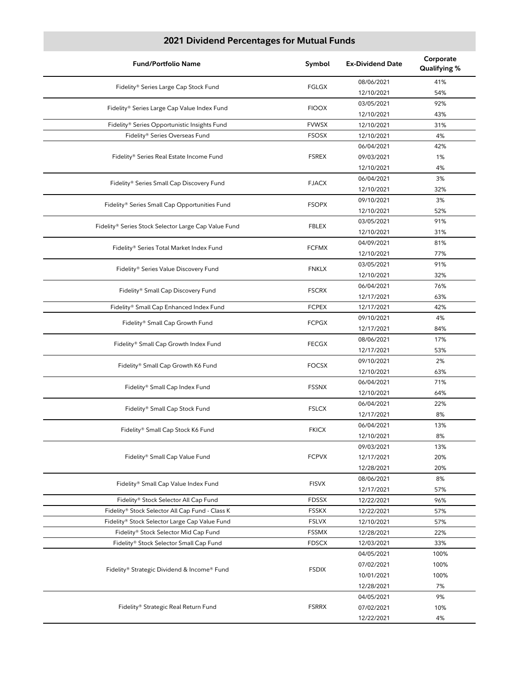| <b>Fund/Portfolio Name</b>                           | Symbol       | <b>Ex-Dividend Date</b> | Corporate<br>Qualifying % |
|------------------------------------------------------|--------------|-------------------------|---------------------------|
| Fidelity® Series Large Cap Stock Fund                | <b>FGLGX</b> | 08/06/2021              | 41%                       |
|                                                      |              | 12/10/2021              | 54%                       |
| Fidelity® Series Large Cap Value Index Fund          | <b>FIOOX</b> | 03/05/2021              | 92%                       |
|                                                      |              | 12/10/2021              | 43%                       |
| Fidelity® Series Opportunistic Insights Fund         | <b>FVWSX</b> | 12/10/2021              | 31%                       |
| Fidelity® Series Overseas Fund                       | <b>FSOSX</b> | 12/10/2021              | 4%                        |
|                                                      |              | 06/04/2021              | 42%                       |
| Fidelity® Series Real Estate Income Fund             | <b>FSREX</b> | 09/03/2021              | 1%                        |
|                                                      |              | 12/10/2021              | 4%                        |
| Fidelity® Series Small Cap Discovery Fund            | <b>FJACX</b> | 06/04/2021              | 3%                        |
|                                                      |              | 12/10/2021              | 32%                       |
|                                                      | <b>FSOPX</b> | 09/10/2021              | 3%                        |
| Fidelity® Series Small Cap Opportunities Fund        |              | 12/10/2021              | 52%                       |
|                                                      |              | 03/05/2021              | 91%                       |
| Fidelity® Series Stock Selector Large Cap Value Fund | <b>FBLEX</b> | 12/10/2021              | 31%                       |
|                                                      |              | 04/09/2021              | 81%                       |
| Fidelity® Series Total Market Index Fund             | <b>FCFMX</b> | 12/10/2021              | 77%                       |
|                                                      |              | 03/05/2021              | 91%                       |
| Fidelity® Series Value Discovery Fund                | <b>FNKLX</b> | 12/10/2021              | 32%                       |
|                                                      |              | 06/04/2021              | 76%                       |
| Fidelity® Small Cap Discovery Fund                   | <b>FSCRX</b> | 12/17/2021              | 63%                       |
| Fidelity® Small Cap Enhanced Index Fund              | <b>FCPEX</b> | 12/17/2021              | 42%                       |
|                                                      |              | 09/10/2021              | 4%                        |
| Fidelity® Small Cap Growth Fund                      | <b>FCPGX</b> | 12/17/2021              | 84%                       |
|                                                      | <b>FECGX</b> | 08/06/2021              | 17%                       |
| Fidelity® Small Cap Growth Index Fund                |              | 12/17/2021              | 53%                       |
|                                                      | <b>FOCSX</b> | 09/10/2021              | 2%                        |
| Fidelity® Small Cap Growth K6 Fund                   |              | 12/10/2021              | 63%                       |
| Fidelity® Small Cap Index Fund                       | <b>FSSNX</b> | 06/04/2021              | 71%                       |
|                                                      |              | 12/10/2021              | 64%                       |
|                                                      | <b>FSLCX</b> | 06/04/2021              | 22%                       |
| Fidelity® Small Cap Stock Fund                       |              | 12/17/2021              | 8%                        |
| Fidelity® Small Cap Stock K6 Fund                    | <b>FKICX</b> | 06/04/2021              | 13%                       |
|                                                      |              | 12/10/2021              | 8%                        |
|                                                      |              | 09/03/2021              | 13%                       |
| Fidelity® Small Cap Value Fund                       | <b>FCPVX</b> | 12/17/2021              | 20%                       |
|                                                      |              | 12/28/2021              | 20%                       |
| Fidelity® Small Cap Value Index Fund                 | <b>FISVX</b> | 08/06/2021              | 8%                        |
|                                                      |              | 12/17/2021              | 57%                       |
| Fidelity® Stock Selector All Cap Fund                | <b>FDSSX</b> | 12/22/2021              | 96%                       |
| Fidelity® Stock Selector All Cap Fund - Class K      | <b>FSSKX</b> | 12/22/2021              | 57%                       |
| Fidelity® Stock Selector Large Cap Value Fund        | <b>FSLVX</b> | 12/10/2021              | 57%                       |
| Fidelity® Stock Selector Mid Cap Fund                | <b>FSSMX</b> | 12/28/2021              | 22%                       |
| Fidelity® Stock Selector Small Cap Fund              | <b>FDSCX</b> | 12/03/2021              | 33%                       |
|                                                      |              | 04/05/2021              | 100%                      |
|                                                      | <b>FSDIX</b> | 07/02/2021              | 100%                      |
| Fidelity® Strategic Dividend & Income® Fund          |              | 10/01/2021              | 100%                      |
|                                                      |              | 12/28/2021              | 7%                        |
|                                                      |              | 04/05/2021              | 9%                        |
| Fidelity® Strategic Real Return Fund                 | <b>FSRRX</b> | 07/02/2021              | 10%                       |
|                                                      |              | 12/22/2021              | 4%                        |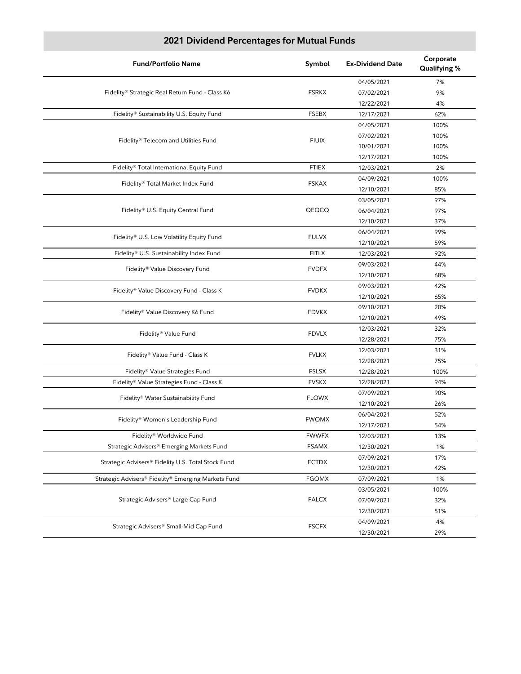| <b>Fund/Portfolio Name</b>                               | Symbol                               | <b>Ex-Dividend Date</b> | Corporate<br>Qualifying % |
|----------------------------------------------------------|--------------------------------------|-------------------------|---------------------------|
|                                                          |                                      | 04/05/2021              | 7%                        |
| Fidelity® Strategic Real Return Fund - Class K6          | <b>FSRKX</b>                         | 07/02/2021              | 9%                        |
|                                                          |                                      | 12/22/2021              | 4%                        |
| Fidelity® Sustainability U.S. Equity Fund                | <b>FSEBX</b>                         | 12/17/2021              | 62%                       |
|                                                          |                                      | 04/05/2021              | 100%                      |
|                                                          | <b>FIUIX</b>                         | 07/02/2021              | 100%                      |
| Fidelity® Telecom and Utilities Fund                     |                                      | 10/01/2021              | 100%                      |
|                                                          |                                      | 12/17/2021              | 100%                      |
| Fidelity® Total International Equity Fund                | <b>FTIEX</b>                         | 12/03/2021              | 2%                        |
|                                                          | <b>FSKAX</b>                         | 04/09/2021              | 100%                      |
| Fidelity® Total Market Index Fund                        |                                      | 12/10/2021              | 85%                       |
|                                                          |                                      | 03/05/2021              | 97%                       |
| Fidelity® U.S. Equity Central Fund                       | QEQCQ                                | 06/04/2021              | 97%                       |
|                                                          |                                      | 12/10/2021              | 37%                       |
|                                                          | <b>FULVX</b>                         | 06/04/2021              | 99%                       |
| Fidelity® U.S. Low Volatility Equity Fund                |                                      | 12/10/2021              | 59%                       |
| Fidelity® U.S. Sustainability Index Fund                 | <b>FITLX</b>                         | 12/03/2021              | 92%                       |
| Fidelity® Value Discovery Fund                           | <b>FVDFX</b>                         | 09/03/2021              | 44%                       |
|                                                          |                                      | 12/10/2021              | 68%                       |
| Fidelity® Value Discovery Fund - Class K<br><b>FVDKX</b> | 09/03/2021                           | 42%                     |                           |
|                                                          |                                      | 12/10/2021              | 65%                       |
|                                                          | <b>FDVKX</b>                         | 09/10/2021              | 20%                       |
| Fidelity® Value Discovery K6 Fund                        |                                      | 12/10/2021              | 49%                       |
|                                                          | Fidelity® Value Fund<br><b>FDVLX</b> | 12/03/2021              | 32%                       |
|                                                          |                                      | 12/28/2021              | 75%                       |
| Fidelity® Value Fund - Class K                           | <b>FVLKX</b>                         | 12/03/2021              | 31%                       |
|                                                          |                                      | 12/28/2021              | 75%                       |
| Fidelity® Value Strategies Fund                          | <b>FSLSX</b>                         | 12/28/2021              | 100%                      |
| Fidelity® Value Strategies Fund - Class K                | <b>FVSKX</b>                         | 12/28/2021              | 94%                       |
| Fidelity® Water Sustainability Fund                      | <b>FLOWX</b>                         | 07/09/2021              | 90%                       |
|                                                          |                                      | 12/10/2021              | 26%                       |
| Fidelity® Women's Leadership Fund                        | <b>FWOMX</b>                         | 06/04/2021              | 52%                       |
|                                                          |                                      | 12/17/2021              | 54%                       |
| Fidelity® Worldwide Fund                                 | <b>FWWFX</b>                         | 12/03/2021              | 13%                       |
| Strategic Advisers® Emerging Markets Fund                | FSAMX                                | 12/30/2021              | 1%                        |
| Strategic Advisers® Fidelity U.S. Total Stock Fund       | <b>FCTDX</b>                         | 07/09/2021              | 17%                       |
|                                                          |                                      | 12/30/2021              | 42%                       |
| Strategic Advisers® Fidelity® Emerging Markets Fund      | <b>FGOMX</b>                         | 07/09/2021              | 1%                        |
|                                                          |                                      | 03/05/2021              | 100%                      |
| Strategic Advisers® Large Cap Fund                       | <b>FALCX</b>                         | 07/09/2021              | 32%                       |
|                                                          |                                      | 12/30/2021              | 51%                       |
| Strategic Advisers® Small-Mid Cap Fund                   | <b>FSCFX</b>                         | 04/09/2021              | 4%                        |
|                                                          |                                      | 12/30/2021              | 29%                       |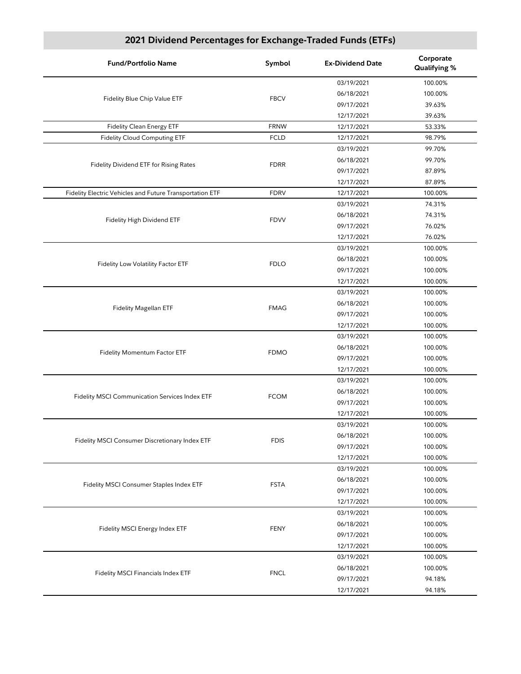# **2021 Dividend Percentages for Exchange-Traded Funds (ETFs)**

| <b>Fund/Portfolio Name</b>                               | Symbol      | <b>Ex-Dividend Date</b> | Corporate<br>Qualifying % |
|----------------------------------------------------------|-------------|-------------------------|---------------------------|
|                                                          |             | 03/19/2021              | 100.00%                   |
| Fidelity Blue Chip Value ETF                             | <b>FBCV</b> | 06/18/2021              | 100.00%                   |
|                                                          |             | 09/17/2021              | 39.63%                    |
|                                                          |             | 12/17/2021              | 39.63%                    |
| Fidelity Clean Energy ETF                                | <b>FRNW</b> | 12/17/2021              | 53.33%                    |
| <b>Fidelity Cloud Computing ETF</b>                      | <b>FCLD</b> | 12/17/2021              | 98.79%                    |
|                                                          |             | 03/19/2021              | 99.70%                    |
|                                                          |             | 06/18/2021              | 99.70%                    |
| <b>Fidelity Dividend ETF for Rising Rates</b>            | <b>FDRR</b> | 09/17/2021              | 87.89%                    |
|                                                          |             | 12/17/2021              | 87.89%                    |
| Fidelity Electric Vehicles and Future Transportation ETF | <b>FDRV</b> | 12/17/2021              | 100.00%                   |
|                                                          |             | 03/19/2021              | 74.31%                    |
|                                                          |             | 06/18/2021              | 74.31%                    |
| Fidelity High Dividend ETF                               | <b>FDVV</b> | 09/17/2021              | 76.02%                    |
|                                                          |             | 12/17/2021              | 76.02%                    |
|                                                          |             | 03/19/2021              | 100.00%                   |
|                                                          |             | 06/18/2021              | 100.00%                   |
| Fidelity Low Volatility Factor ETF                       | <b>FDLO</b> | 09/17/2021              | 100.00%                   |
|                                                          |             | 12/17/2021              | 100.00%                   |
|                                                          |             | 03/19/2021              | 100.00%                   |
|                                                          |             | 06/18/2021              | 100.00%                   |
| <b>Fidelity Magellan ETF</b>                             | <b>FMAG</b> | 09/17/2021              | 100.00%                   |
|                                                          |             | 12/17/2021              | 100.00%                   |
|                                                          |             | 03/19/2021              | 100.00%                   |
|                                                          |             | 06/18/2021              | 100.00%                   |
| <b>Fidelity Momentum Factor ETF</b>                      | <b>FDMO</b> | 09/17/2021              | 100.00%                   |
|                                                          |             | 12/17/2021              | 100.00%                   |
|                                                          |             | 03/19/2021              | 100.00%                   |
|                                                          |             | 06/18/2021              | 100.00%                   |
| Fidelity MSCI Communication Services Index ETF           | <b>FCOM</b> | 09/17/2021              | 100.00%                   |
|                                                          |             |                         |                           |
|                                                          |             | 12/17/2021              | 100.00%                   |
|                                                          |             | 03/19/2021              | 100.00%<br>100.00%        |
| Fidelity MSCI Consumer Discretionary Index ETF           | <b>FDIS</b> | 06/18/2021              |                           |
|                                                          |             | 09/17/2021              | 100.00%                   |
|                                                          |             | 12/17/2021              | 100.00%                   |
|                                                          |             | 03/19/2021              | 100.00%                   |
| Fidelity MSCI Consumer Staples Index ETF                 | <b>FSTA</b> | 06/18/2021              | 100.00%                   |
|                                                          |             | 09/17/2021              | 100.00%                   |
|                                                          |             | 12/17/2021              | 100.00%                   |
|                                                          |             | 03/19/2021              | 100.00%                   |
| Fidelity MSCI Energy Index ETF                           | <b>FENY</b> | 06/18/2021              | 100.00%                   |
|                                                          |             | 09/17/2021              | 100.00%                   |
|                                                          |             | 12/17/2021              | 100.00%                   |
|                                                          |             | 03/19/2021              | 100.00%                   |
| <b>Fidelity MSCI Financials Index ETF</b>                | <b>FNCL</b> | 06/18/2021              | 100.00%                   |
|                                                          |             | 09/17/2021              | 94.18%                    |
|                                                          |             | 12/17/2021              | 94.18%                    |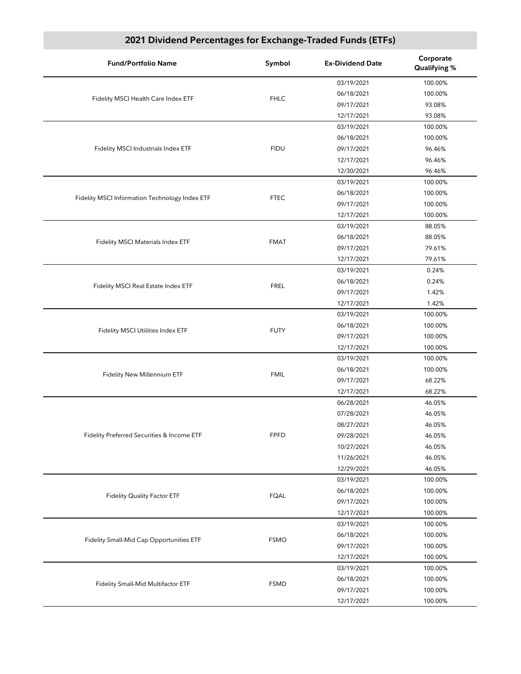# **2021 Dividend Percentages for Exchange-Traded Funds (ETFs)**

| 03/19/2021<br>100.00%<br>06/18/2021<br>100.00%<br><b>FHLC</b><br>Fidelity MSCI Health Care Index ETF<br>09/17/2021<br>93.08%<br>93.08%<br>12/17/2021<br>03/19/2021<br>100.00%<br>06/18/2021<br>100.00%<br>Fidelity MSCI Industrials Index ETF<br><b>FIDU</b><br>09/17/2021<br>96.46%<br>96.46%<br>12/17/2021<br>12/30/2021<br>96.46%<br>03/19/2021<br>100.00%<br>06/18/2021<br>100.00%<br>Fidelity MSCI Information Technology Index ETF<br><b>FTEC</b><br>09/17/2021<br>100.00%<br>12/17/2021<br>100.00%<br>88.05%<br>03/19/2021<br>06/18/2021<br>88.05%<br><b>FMAT</b><br><b>Fidelity MSCI Materials Index ETF</b><br>79.61%<br>09/17/2021<br>79.61%<br>12/17/2021<br>03/19/2021<br>0.24%<br>06/18/2021<br>0.24%<br><b>FREL</b><br>Fidelity MSCI Real Estate Index ETF<br>09/17/2021<br>1.42%<br>12/17/2021<br>1.42%<br>03/19/2021<br>100.00%<br>06/18/2021<br>100.00%<br><b>FUTY</b><br>Fidelity MSCI Utilities Index ETF<br>09/17/2021<br>100.00%<br>12/17/2021<br>100.00%<br>03/19/2021<br>100.00%<br>06/18/2021<br>100.00%<br><b>FMIL</b><br>Fidelity New Millennium ETF<br>09/17/2021<br>68.22%<br>68.22%<br>12/17/2021<br>06/28/2021<br>46.05%<br>07/28/2021<br>46.05%<br>46.05%<br>08/27/2021<br><b>FPFD</b><br>46.05%<br>Fidelity Preferred Securities & Income ETF<br>09/28/2021<br>46.05%<br>10/27/2021<br>11/26/2021<br>46.05%<br>12/29/2021<br>46.05%<br>03/19/2021<br>100.00%<br>06/18/2021<br>100.00%<br><b>Fidelity Quality Factor ETF</b><br><b>FQAL</b><br>09/17/2021<br>100.00%<br>12/17/2021<br>100.00%<br>03/19/2021<br>100.00%<br>06/18/2021<br>100.00%<br>Fidelity Small-Mid Cap Opportunities ETF<br><b>FSMO</b><br>09/17/2021<br>100.00%<br>12/17/2021<br>100.00%<br>03/19/2021<br>100.00%<br>06/18/2021<br>100.00%<br><b>FSMD</b><br>Fidelity Small-Mid Multifactor ETF<br>100.00%<br>09/17/2021<br>100.00%<br>12/17/2021 | <b>Fund/Portfolio Name</b> | Symbol | <b>Ex-Dividend Date</b> | Corporate<br>Qualifying % |
|------------------------------------------------------------------------------------------------------------------------------------------------------------------------------------------------------------------------------------------------------------------------------------------------------------------------------------------------------------------------------------------------------------------------------------------------------------------------------------------------------------------------------------------------------------------------------------------------------------------------------------------------------------------------------------------------------------------------------------------------------------------------------------------------------------------------------------------------------------------------------------------------------------------------------------------------------------------------------------------------------------------------------------------------------------------------------------------------------------------------------------------------------------------------------------------------------------------------------------------------------------------------------------------------------------------------------------------------------------------------------------------------------------------------------------------------------------------------------------------------------------------------------------------------------------------------------------------------------------------------------------------------------------------------------------------------------------------------------------------------------------------------------------------------------------------------------------------------------|----------------------------|--------|-------------------------|---------------------------|
|                                                                                                                                                                                                                                                                                                                                                                                                                                                                                                                                                                                                                                                                                                                                                                                                                                                                                                                                                                                                                                                                                                                                                                                                                                                                                                                                                                                                                                                                                                                                                                                                                                                                                                                                                                                                                                                      |                            |        |                         |                           |
|                                                                                                                                                                                                                                                                                                                                                                                                                                                                                                                                                                                                                                                                                                                                                                                                                                                                                                                                                                                                                                                                                                                                                                                                                                                                                                                                                                                                                                                                                                                                                                                                                                                                                                                                                                                                                                                      |                            |        |                         |                           |
|                                                                                                                                                                                                                                                                                                                                                                                                                                                                                                                                                                                                                                                                                                                                                                                                                                                                                                                                                                                                                                                                                                                                                                                                                                                                                                                                                                                                                                                                                                                                                                                                                                                                                                                                                                                                                                                      |                            |        |                         |                           |
|                                                                                                                                                                                                                                                                                                                                                                                                                                                                                                                                                                                                                                                                                                                                                                                                                                                                                                                                                                                                                                                                                                                                                                                                                                                                                                                                                                                                                                                                                                                                                                                                                                                                                                                                                                                                                                                      |                            |        |                         |                           |
|                                                                                                                                                                                                                                                                                                                                                                                                                                                                                                                                                                                                                                                                                                                                                                                                                                                                                                                                                                                                                                                                                                                                                                                                                                                                                                                                                                                                                                                                                                                                                                                                                                                                                                                                                                                                                                                      |                            |        |                         |                           |
|                                                                                                                                                                                                                                                                                                                                                                                                                                                                                                                                                                                                                                                                                                                                                                                                                                                                                                                                                                                                                                                                                                                                                                                                                                                                                                                                                                                                                                                                                                                                                                                                                                                                                                                                                                                                                                                      |                            |        |                         |                           |
|                                                                                                                                                                                                                                                                                                                                                                                                                                                                                                                                                                                                                                                                                                                                                                                                                                                                                                                                                                                                                                                                                                                                                                                                                                                                                                                                                                                                                                                                                                                                                                                                                                                                                                                                                                                                                                                      |                            |        |                         |                           |
|                                                                                                                                                                                                                                                                                                                                                                                                                                                                                                                                                                                                                                                                                                                                                                                                                                                                                                                                                                                                                                                                                                                                                                                                                                                                                                                                                                                                                                                                                                                                                                                                                                                                                                                                                                                                                                                      |                            |        |                         |                           |
|                                                                                                                                                                                                                                                                                                                                                                                                                                                                                                                                                                                                                                                                                                                                                                                                                                                                                                                                                                                                                                                                                                                                                                                                                                                                                                                                                                                                                                                                                                                                                                                                                                                                                                                                                                                                                                                      |                            |        |                         |                           |
|                                                                                                                                                                                                                                                                                                                                                                                                                                                                                                                                                                                                                                                                                                                                                                                                                                                                                                                                                                                                                                                                                                                                                                                                                                                                                                                                                                                                                                                                                                                                                                                                                                                                                                                                                                                                                                                      |                            |        |                         |                           |
|                                                                                                                                                                                                                                                                                                                                                                                                                                                                                                                                                                                                                                                                                                                                                                                                                                                                                                                                                                                                                                                                                                                                                                                                                                                                                                                                                                                                                                                                                                                                                                                                                                                                                                                                                                                                                                                      |                            |        |                         |                           |
|                                                                                                                                                                                                                                                                                                                                                                                                                                                                                                                                                                                                                                                                                                                                                                                                                                                                                                                                                                                                                                                                                                                                                                                                                                                                                                                                                                                                                                                                                                                                                                                                                                                                                                                                                                                                                                                      |                            |        |                         |                           |
|                                                                                                                                                                                                                                                                                                                                                                                                                                                                                                                                                                                                                                                                                                                                                                                                                                                                                                                                                                                                                                                                                                                                                                                                                                                                                                                                                                                                                                                                                                                                                                                                                                                                                                                                                                                                                                                      |                            |        |                         |                           |
|                                                                                                                                                                                                                                                                                                                                                                                                                                                                                                                                                                                                                                                                                                                                                                                                                                                                                                                                                                                                                                                                                                                                                                                                                                                                                                                                                                                                                                                                                                                                                                                                                                                                                                                                                                                                                                                      |                            |        |                         |                           |
|                                                                                                                                                                                                                                                                                                                                                                                                                                                                                                                                                                                                                                                                                                                                                                                                                                                                                                                                                                                                                                                                                                                                                                                                                                                                                                                                                                                                                                                                                                                                                                                                                                                                                                                                                                                                                                                      |                            |        |                         |                           |
|                                                                                                                                                                                                                                                                                                                                                                                                                                                                                                                                                                                                                                                                                                                                                                                                                                                                                                                                                                                                                                                                                                                                                                                                                                                                                                                                                                                                                                                                                                                                                                                                                                                                                                                                                                                                                                                      |                            |        |                         |                           |
|                                                                                                                                                                                                                                                                                                                                                                                                                                                                                                                                                                                                                                                                                                                                                                                                                                                                                                                                                                                                                                                                                                                                                                                                                                                                                                                                                                                                                                                                                                                                                                                                                                                                                                                                                                                                                                                      |                            |        |                         |                           |
|                                                                                                                                                                                                                                                                                                                                                                                                                                                                                                                                                                                                                                                                                                                                                                                                                                                                                                                                                                                                                                                                                                                                                                                                                                                                                                                                                                                                                                                                                                                                                                                                                                                                                                                                                                                                                                                      |                            |        |                         |                           |
|                                                                                                                                                                                                                                                                                                                                                                                                                                                                                                                                                                                                                                                                                                                                                                                                                                                                                                                                                                                                                                                                                                                                                                                                                                                                                                                                                                                                                                                                                                                                                                                                                                                                                                                                                                                                                                                      |                            |        |                         |                           |
|                                                                                                                                                                                                                                                                                                                                                                                                                                                                                                                                                                                                                                                                                                                                                                                                                                                                                                                                                                                                                                                                                                                                                                                                                                                                                                                                                                                                                                                                                                                                                                                                                                                                                                                                                                                                                                                      |                            |        |                         |                           |
|                                                                                                                                                                                                                                                                                                                                                                                                                                                                                                                                                                                                                                                                                                                                                                                                                                                                                                                                                                                                                                                                                                                                                                                                                                                                                                                                                                                                                                                                                                                                                                                                                                                                                                                                                                                                                                                      |                            |        |                         |                           |
|                                                                                                                                                                                                                                                                                                                                                                                                                                                                                                                                                                                                                                                                                                                                                                                                                                                                                                                                                                                                                                                                                                                                                                                                                                                                                                                                                                                                                                                                                                                                                                                                                                                                                                                                                                                                                                                      |                            |        |                         |                           |
|                                                                                                                                                                                                                                                                                                                                                                                                                                                                                                                                                                                                                                                                                                                                                                                                                                                                                                                                                                                                                                                                                                                                                                                                                                                                                                                                                                                                                                                                                                                                                                                                                                                                                                                                                                                                                                                      |                            |        |                         |                           |
|                                                                                                                                                                                                                                                                                                                                                                                                                                                                                                                                                                                                                                                                                                                                                                                                                                                                                                                                                                                                                                                                                                                                                                                                                                                                                                                                                                                                                                                                                                                                                                                                                                                                                                                                                                                                                                                      |                            |        |                         |                           |
|                                                                                                                                                                                                                                                                                                                                                                                                                                                                                                                                                                                                                                                                                                                                                                                                                                                                                                                                                                                                                                                                                                                                                                                                                                                                                                                                                                                                                                                                                                                                                                                                                                                                                                                                                                                                                                                      |                            |        |                         |                           |
|                                                                                                                                                                                                                                                                                                                                                                                                                                                                                                                                                                                                                                                                                                                                                                                                                                                                                                                                                                                                                                                                                                                                                                                                                                                                                                                                                                                                                                                                                                                                                                                                                                                                                                                                                                                                                                                      |                            |        |                         |                           |
|                                                                                                                                                                                                                                                                                                                                                                                                                                                                                                                                                                                                                                                                                                                                                                                                                                                                                                                                                                                                                                                                                                                                                                                                                                                                                                                                                                                                                                                                                                                                                                                                                                                                                                                                                                                                                                                      |                            |        |                         |                           |
|                                                                                                                                                                                                                                                                                                                                                                                                                                                                                                                                                                                                                                                                                                                                                                                                                                                                                                                                                                                                                                                                                                                                                                                                                                                                                                                                                                                                                                                                                                                                                                                                                                                                                                                                                                                                                                                      |                            |        |                         |                           |
|                                                                                                                                                                                                                                                                                                                                                                                                                                                                                                                                                                                                                                                                                                                                                                                                                                                                                                                                                                                                                                                                                                                                                                                                                                                                                                                                                                                                                                                                                                                                                                                                                                                                                                                                                                                                                                                      |                            |        |                         |                           |
|                                                                                                                                                                                                                                                                                                                                                                                                                                                                                                                                                                                                                                                                                                                                                                                                                                                                                                                                                                                                                                                                                                                                                                                                                                                                                                                                                                                                                                                                                                                                                                                                                                                                                                                                                                                                                                                      |                            |        |                         |                           |
|                                                                                                                                                                                                                                                                                                                                                                                                                                                                                                                                                                                                                                                                                                                                                                                                                                                                                                                                                                                                                                                                                                                                                                                                                                                                                                                                                                                                                                                                                                                                                                                                                                                                                                                                                                                                                                                      |                            |        |                         |                           |
|                                                                                                                                                                                                                                                                                                                                                                                                                                                                                                                                                                                                                                                                                                                                                                                                                                                                                                                                                                                                                                                                                                                                                                                                                                                                                                                                                                                                                                                                                                                                                                                                                                                                                                                                                                                                                                                      |                            |        |                         |                           |
|                                                                                                                                                                                                                                                                                                                                                                                                                                                                                                                                                                                                                                                                                                                                                                                                                                                                                                                                                                                                                                                                                                                                                                                                                                                                                                                                                                                                                                                                                                                                                                                                                                                                                                                                                                                                                                                      |                            |        |                         |                           |
|                                                                                                                                                                                                                                                                                                                                                                                                                                                                                                                                                                                                                                                                                                                                                                                                                                                                                                                                                                                                                                                                                                                                                                                                                                                                                                                                                                                                                                                                                                                                                                                                                                                                                                                                                                                                                                                      |                            |        |                         |                           |
|                                                                                                                                                                                                                                                                                                                                                                                                                                                                                                                                                                                                                                                                                                                                                                                                                                                                                                                                                                                                                                                                                                                                                                                                                                                                                                                                                                                                                                                                                                                                                                                                                                                                                                                                                                                                                                                      |                            |        |                         |                           |
|                                                                                                                                                                                                                                                                                                                                                                                                                                                                                                                                                                                                                                                                                                                                                                                                                                                                                                                                                                                                                                                                                                                                                                                                                                                                                                                                                                                                                                                                                                                                                                                                                                                                                                                                                                                                                                                      |                            |        |                         |                           |
|                                                                                                                                                                                                                                                                                                                                                                                                                                                                                                                                                                                                                                                                                                                                                                                                                                                                                                                                                                                                                                                                                                                                                                                                                                                                                                                                                                                                                                                                                                                                                                                                                                                                                                                                                                                                                                                      |                            |        |                         |                           |
|                                                                                                                                                                                                                                                                                                                                                                                                                                                                                                                                                                                                                                                                                                                                                                                                                                                                                                                                                                                                                                                                                                                                                                                                                                                                                                                                                                                                                                                                                                                                                                                                                                                                                                                                                                                                                                                      |                            |        |                         |                           |
|                                                                                                                                                                                                                                                                                                                                                                                                                                                                                                                                                                                                                                                                                                                                                                                                                                                                                                                                                                                                                                                                                                                                                                                                                                                                                                                                                                                                                                                                                                                                                                                                                                                                                                                                                                                                                                                      |                            |        |                         |                           |
|                                                                                                                                                                                                                                                                                                                                                                                                                                                                                                                                                                                                                                                                                                                                                                                                                                                                                                                                                                                                                                                                                                                                                                                                                                                                                                                                                                                                                                                                                                                                                                                                                                                                                                                                                                                                                                                      |                            |        |                         |                           |
|                                                                                                                                                                                                                                                                                                                                                                                                                                                                                                                                                                                                                                                                                                                                                                                                                                                                                                                                                                                                                                                                                                                                                                                                                                                                                                                                                                                                                                                                                                                                                                                                                                                                                                                                                                                                                                                      |                            |        |                         |                           |
|                                                                                                                                                                                                                                                                                                                                                                                                                                                                                                                                                                                                                                                                                                                                                                                                                                                                                                                                                                                                                                                                                                                                                                                                                                                                                                                                                                                                                                                                                                                                                                                                                                                                                                                                                                                                                                                      |                            |        |                         |                           |
|                                                                                                                                                                                                                                                                                                                                                                                                                                                                                                                                                                                                                                                                                                                                                                                                                                                                                                                                                                                                                                                                                                                                                                                                                                                                                                                                                                                                                                                                                                                                                                                                                                                                                                                                                                                                                                                      |                            |        |                         |                           |
|                                                                                                                                                                                                                                                                                                                                                                                                                                                                                                                                                                                                                                                                                                                                                                                                                                                                                                                                                                                                                                                                                                                                                                                                                                                                                                                                                                                                                                                                                                                                                                                                                                                                                                                                                                                                                                                      |                            |        |                         |                           |
|                                                                                                                                                                                                                                                                                                                                                                                                                                                                                                                                                                                                                                                                                                                                                                                                                                                                                                                                                                                                                                                                                                                                                                                                                                                                                                                                                                                                                                                                                                                                                                                                                                                                                                                                                                                                                                                      |                            |        |                         |                           |
|                                                                                                                                                                                                                                                                                                                                                                                                                                                                                                                                                                                                                                                                                                                                                                                                                                                                                                                                                                                                                                                                                                                                                                                                                                                                                                                                                                                                                                                                                                                                                                                                                                                                                                                                                                                                                                                      |                            |        |                         |                           |
|                                                                                                                                                                                                                                                                                                                                                                                                                                                                                                                                                                                                                                                                                                                                                                                                                                                                                                                                                                                                                                                                                                                                                                                                                                                                                                                                                                                                                                                                                                                                                                                                                                                                                                                                                                                                                                                      |                            |        |                         |                           |
|                                                                                                                                                                                                                                                                                                                                                                                                                                                                                                                                                                                                                                                                                                                                                                                                                                                                                                                                                                                                                                                                                                                                                                                                                                                                                                                                                                                                                                                                                                                                                                                                                                                                                                                                                                                                                                                      |                            |        |                         |                           |